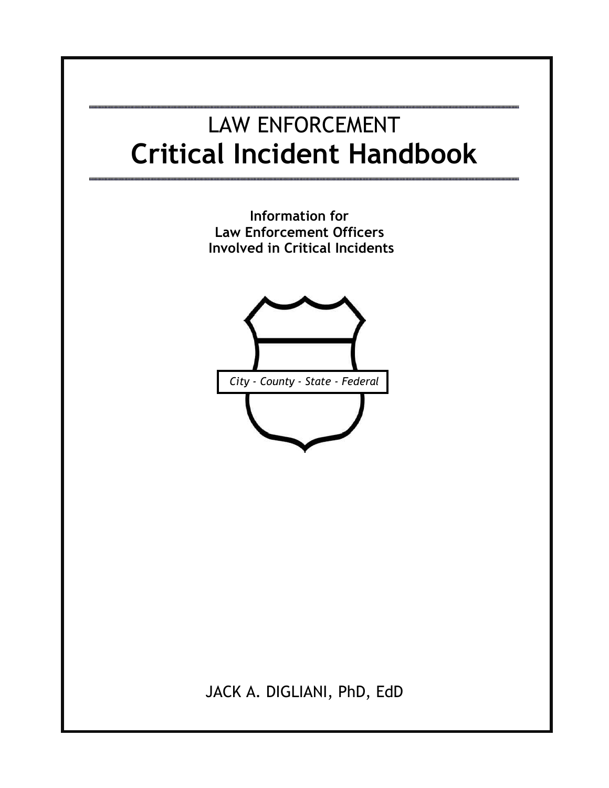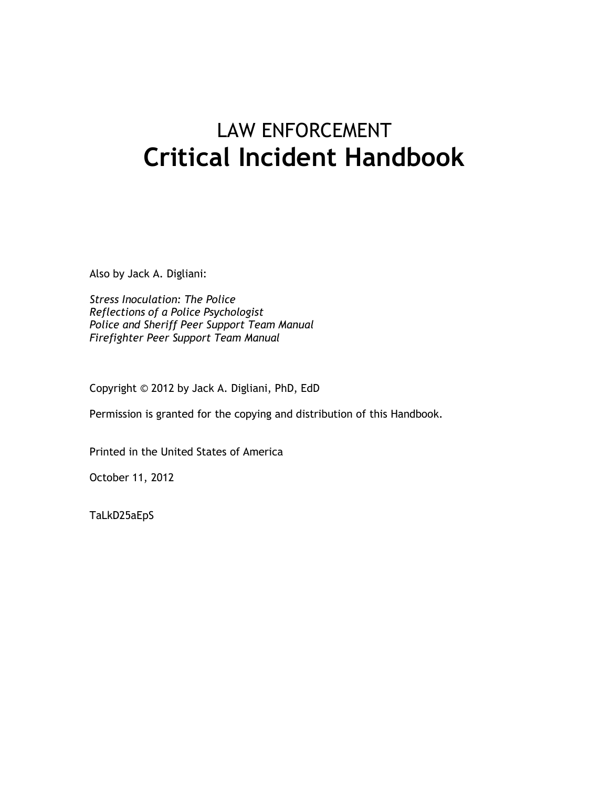# LAW ENFORCEMENT **Critical Incident Handbook**

Also by Jack A. Digliani:

*Stress Inoculation: The Police Reflections of a Police Psychologist Police and Sheriff Peer Support Team Manual Firefighter Peer Support Team Manual*

Copyright © 2012 by Jack A. Digliani, PhD, EdD

Permission is granted for the copying and distribution of this Handbook.

Printed in the United States of America

October 11, 2012

TaLkD25aEpS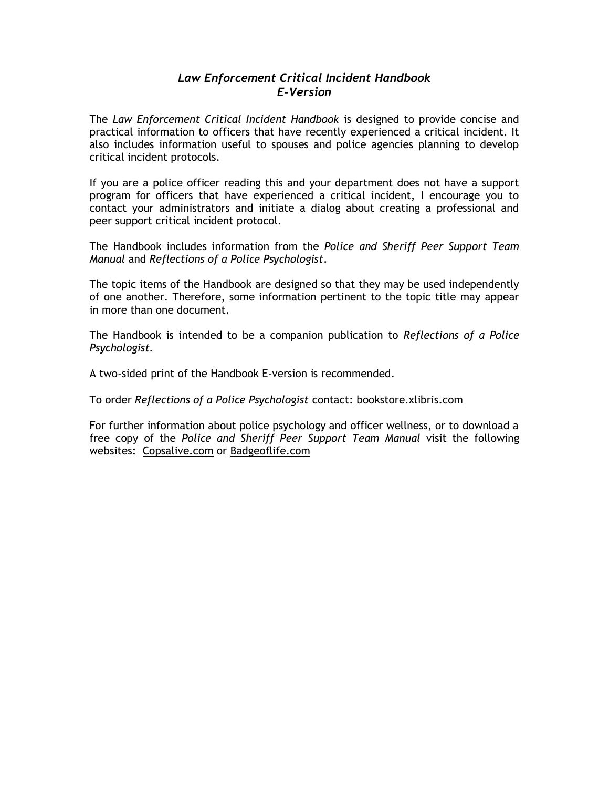## *Law Enforcement Critical Incident Handbook E-Version*

The *Law Enforcement Critical Incident Handbook* is designed to provide concise and practical information to officers that have recently experienced a critical incident. It also includes information useful to spouses and police agencies planning to develop critical incident protocols.

If you are a police officer reading this and your department does not have a support program for officers that have experienced a critical incident, I encourage you to contact your administrators and initiate a dialog about creating a professional and peer support critical incident protocol.

The Handbook includes information from the *Police and Sheriff Peer Support Team Manual* and *Reflections of a Police Psychologist*.

The topic items of the Handbook are designed so that they may be used independently of one another. Therefore, some information pertinent to the topic title may appear in more than one document.

The Handbook is intended to be a companion publication to *Reflections of a Police Psychologist.*

A two-sided print of the Handbook E-version is recommended.

To order *Reflections of a Police Psychologist* contact: bookstore.xlibris.com

For further information about police psychology and officer wellness, or to download a free copy of the *Police and Sheriff Peer Support Team Manual* visit the following websites: Copsalive.com or Badgeoflife.com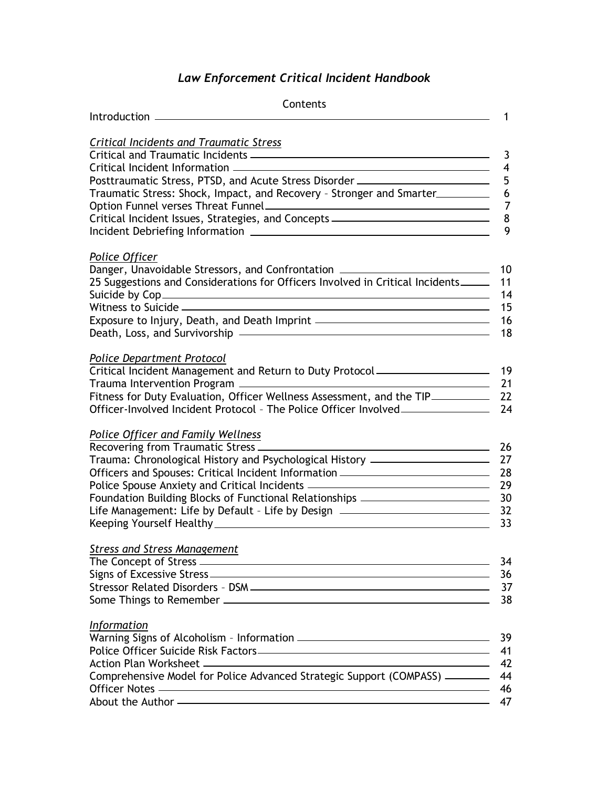## *Law Enforcement Critical Incident Handbook*

| Contents                                                                                                                                                                                                                            |                  |
|-------------------------------------------------------------------------------------------------------------------------------------------------------------------------------------------------------------------------------------|------------------|
|                                                                                                                                                                                                                                     | 1                |
|                                                                                                                                                                                                                                     |                  |
| Critical Incidents and Traumatic Stress                                                                                                                                                                                             |                  |
|                                                                                                                                                                                                                                     | 3                |
|                                                                                                                                                                                                                                     | $\overline{4}$   |
| Posttraumatic Stress, PTSD, and Acute Stress Disorder __________________________                                                                                                                                                    | 5                |
| Traumatic Stress: Shock, Impact, and Recovery - Stronger and Smarter                                                                                                                                                                | $\boldsymbol{6}$ |
|                                                                                                                                                                                                                                     | $\overline{7}$   |
| Critical Incident Issues, Strategies, and Concepts _____________________________                                                                                                                                                    | 8                |
|                                                                                                                                                                                                                                     | 9                |
|                                                                                                                                                                                                                                     |                  |
| Police Officer                                                                                                                                                                                                                      |                  |
| Danger, Unavoidable Stressors, and Confrontation _______________________________                                                                                                                                                    | 10               |
| 25 Suggestions and Considerations for Officers Involved in Critical Incidents_____                                                                                                                                                  | 11               |
|                                                                                                                                                                                                                                     |                  |
|                                                                                                                                                                                                                                     |                  |
| Exposure to Injury, Death, and Death Imprint ___________________________________ 16                                                                                                                                                 | 18               |
|                                                                                                                                                                                                                                     |                  |
| Police Department Protocol                                                                                                                                                                                                          |                  |
| Critical Incident Management and Return to Duty Protocol _______________________ 19                                                                                                                                                 |                  |
| Trauma Intervention Program (2008) 21                                                                                                                                                                                               |                  |
|                                                                                                                                                                                                                                     |                  |
| Officer-Involved Incident Protocol - The Police Officer Involved_______________                                                                                                                                                     | 24               |
|                                                                                                                                                                                                                                     |                  |
| Police Officer and Family Wellness                                                                                                                                                                                                  |                  |
|                                                                                                                                                                                                                                     | 26               |
|                                                                                                                                                                                                                                     |                  |
|                                                                                                                                                                                                                                     |                  |
| Police Spouse Anxiety and Critical Incidents ———————————————————— 29                                                                                                                                                                |                  |
| Foundation Building Blocks of Functional Relationships __________________________ 30                                                                                                                                                |                  |
| Life Management: Life by Default - Life by Design (2008) 2008 2014 2020 2021 2032                                                                                                                                                   |                  |
|                                                                                                                                                                                                                                     | 33               |
|                                                                                                                                                                                                                                     |                  |
| <b>Stress and Stress Management</b>                                                                                                                                                                                                 |                  |
| The Concept of Stress <u>experience</u> and the concentration of the concentration of the concentration of the concentration of the concentration of the concentration of the concentration of the concentration of the concentrati | 34               |
|                                                                                                                                                                                                                                     | 36               |
|                                                                                                                                                                                                                                     | 38               |
|                                                                                                                                                                                                                                     |                  |
| Information                                                                                                                                                                                                                         |                  |
|                                                                                                                                                                                                                                     | 39               |
|                                                                                                                                                                                                                                     | 41               |
|                                                                                                                                                                                                                                     | 42               |
| Comprehensive Model for Police Advanced Strategic Support (COMPASS) _________                                                                                                                                                       | 44               |
| Officer Notes ——————                                                                                                                                                                                                                | 46               |
| About the Author (2008) 2009 2010 2020 2021 2022 2023 2024 2022 2023 2024 2022 2023 2024 2022 2023 2024 2022 20                                                                                                                     | 47               |
|                                                                                                                                                                                                                                     |                  |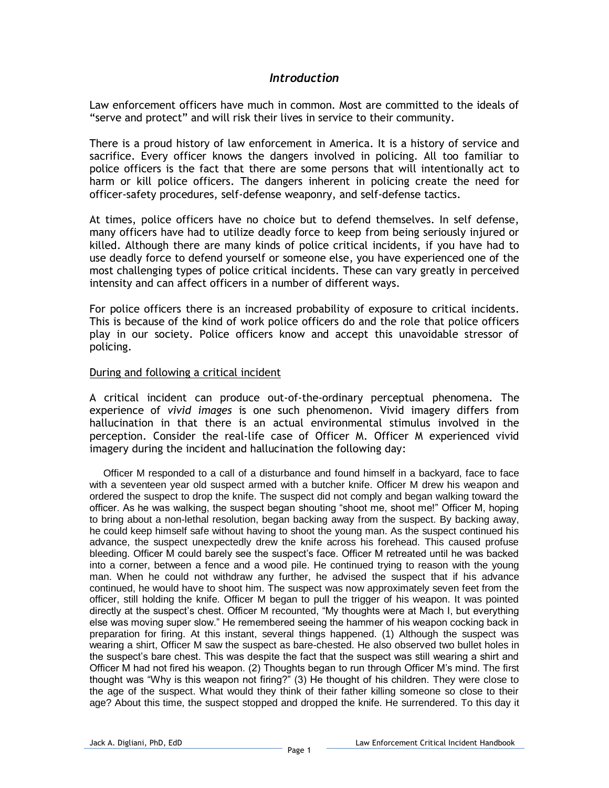#### *Introduction*

Law enforcement officers have much in common. Most are committed to the ideals of ―serve and protect‖ and will risk their lives in service to their community.

There is a proud history of law enforcement in America. It is a history of service and sacrifice. Every officer knows the dangers involved in policing. All too familiar to police officers is the fact that there are some persons that will intentionally act to harm or kill police officers. The dangers inherent in policing create the need for officer-safety procedures, self-defense weaponry, and self-defense tactics.

At times, police officers have no choice but to defend themselves. In self defense, many officers have had to utilize deadly force to keep from being seriously injured or killed. Although there are many kinds of police critical incidents, if you have had to use deadly force to defend yourself or someone else, you have experienced one of the most challenging types of police critical incidents. These can vary greatly in perceived intensity and can affect officers in a number of different ways.

For police officers there is an increased probability of exposure to critical incidents. This is because of the kind of work police officers do and the role that police officers play in our society. Police officers know and accept this unavoidable stressor of policing.

#### During and following a critical incident

A critical incident can produce out-of-the-ordinary perceptual phenomena. The experience of *vivid images* is one such phenomenon. Vivid imagery differs from hallucination in that there is an actual environmental stimulus involved in the perception. Consider the real-life case of Officer M. Officer M experienced vivid imagery during the incident and hallucination the following day:

 Officer M responded to a call of a disturbance and found himself in a backyard, face to face with a seventeen year old suspect armed with a butcher knife. Officer M drew his weapon and ordered the suspect to drop the knife. The suspect did not comply and began walking toward the officer. As he was walking, the suspect began shouting "shoot me, shoot me!" Officer M, hoping to bring about a non-lethal resolution, began backing away from the suspect. By backing away, he could keep himself safe without having to shoot the young man. As the suspect continued his advance, the suspect unexpectedly drew the knife across his forehead. This caused profuse bleeding. Officer M could barely see the suspect's face. Officer M retreated until he was backed into a corner, between a fence and a wood pile. He continued trying to reason with the young man. When he could not withdraw any further, he advised the suspect that if his advance continued, he would have to shoot him. The suspect was now approximately seven feet from the officer, still holding the knife. Officer M began to pull the trigger of his weapon. It was pointed directly at the suspect's chest. Officer M recounted, "My thoughts were at Mach I, but everything else was moving super slow." He remembered seeing the hammer of his weapon cocking back in preparation for firing. At this instant, several things happened. (1) Although the suspect was wearing a shirt, Officer M saw the suspect as bare-chested. He also observed two bullet holes in the suspect's bare chest. This was despite the fact that the suspect was still wearing a shirt and Officer M had not fired his weapon. (2) Thoughts began to run through Officer M's mind. The first thought was "Why is this weapon not firing?" (3) He thought of his children. They were close to the age of the suspect. What would they think of their father killing someone so close to their age? About this time, the suspect stopped and dropped the knife. He surrendered. To this day it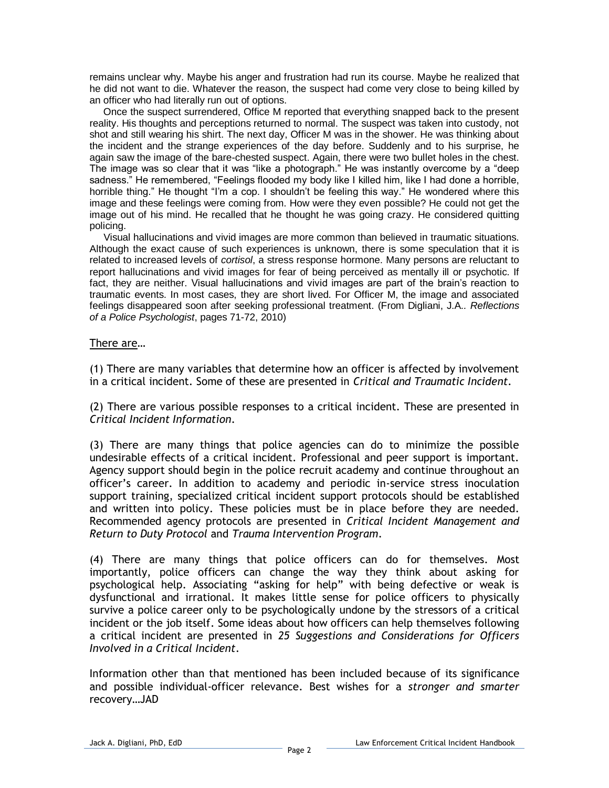remains unclear why. Maybe his anger and frustration had run its course. Maybe he realized that he did not want to die. Whatever the reason, the suspect had come very close to being killed by an officer who had literally run out of options.

 Once the suspect surrendered, Office M reported that everything snapped back to the present reality. His thoughts and perceptions returned to normal. The suspect was taken into custody, not shot and still wearing his shirt. The next day, Officer M was in the shower. He was thinking about the incident and the strange experiences of the day before. Suddenly and to his surprise, he again saw the image of the bare-chested suspect. Again, there were two bullet holes in the chest. The image was so clear that it was "like a photograph." He was instantly overcome by a "deep sadness." He remembered, "Feelings flooded my body like I killed him, like I had done a horrible, horrible thing." He thought "I'm a cop. I shouldn't be feeling this way." He wondered where this image and these feelings were coming from. How were they even possible? He could not get the image out of his mind. He recalled that he thought he was going crazy. He considered quitting policing.

 Visual hallucinations and vivid images are more common than believed in traumatic situations. Although the exact cause of such experiences is unknown, there is some speculation that it is related to increased levels of *cortisol*, a stress response hormone. Many persons are reluctant to report hallucinations and vivid images for fear of being perceived as mentally ill or psychotic. If fact, they are neither. Visual hallucinations and vivid images are part of the brain's reaction to traumatic events. In most cases, they are short lived. For Officer M, the image and associated feelings disappeared soon after seeking professional treatment. (From Digliani, J.A*.. Reflections of a Police Psychologist*, pages 71-72, 2010)

#### There are…

(1) There are many variables that determine how an officer is affected by involvement in a critical incident. Some of these are presented in *Critical and Traumatic Incident.*

(2) There are various possible responses to a critical incident. These are presented in *Critical Incident Information*.

(3) There are many things that police agencies can do to minimize the possible undesirable effects of a critical incident. Professional and peer support is important. Agency support should begin in the police recruit academy and continue throughout an officer's career. In addition to academy and periodic in-service stress inoculation support training, specialized critical incident support protocols should be established and written into policy. These policies must be in place before they are needed. Recommended agency protocols are presented in *Critical Incident Management and Return to Duty Protocol* and *Trauma Intervention Program*.

(4) There are many things that police officers can do for themselves. Most importantly, police officers can change the way they think about asking for psychological help. Associating "asking for help" with being defective or weak is dysfunctional and irrational. It makes little sense for police officers to physically survive a police career only to be psychologically undone by the stressors of a critical incident or the job itself. Some ideas about how officers can help themselves following a critical incident are presented in *25 Suggestions and Considerations for Officers Involved in a Critical Incident*.

Information other than that mentioned has been included because of its significance and possible individual-officer relevance. Best wishes for a *stronger and smarter* recovery…JAD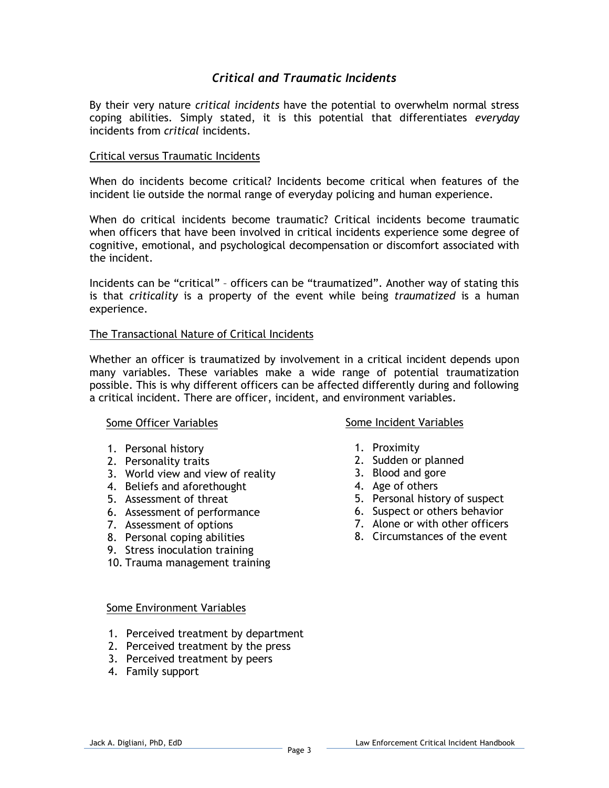## *Critical and Traumatic Incidents*

By their very nature *critical incidents* have the potential to overwhelm normal stress coping abilities. Simply stated, it is this potential that differentiates *everyday* incidents from *critical* incidents.

#### Critical versus Traumatic Incidents

When do incidents become critical? Incidents become critical when features of the incident lie outside the normal range of everyday policing and human experience.

When do critical incidents become traumatic? Critical incidents become traumatic when officers that have been involved in critical incidents experience some degree of cognitive, emotional, and psychological decompensation or discomfort associated with the incident.

Incidents can be "critical" - officers can be "traumatized". Another way of stating this is that *criticality* is a property of the event while being *traumatized* is a human experience.

#### The Transactional Nature of Critical Incidents

Whether an officer is traumatized by involvement in a critical incident depends upon many variables. These variables make a wide range of potential traumatization possible. This is why different officers can be affected differently during and following a critical incident. There are officer, incident, and environment variables.

#### Some Officer Variables

- 1. Personal history
- 2. Personality traits
- 3. World view and view of reality
- 4. Beliefs and aforethought
- 5. Assessment of threat
- 6. Assessment of performance
- 7. Assessment of options
- 8. Personal coping abilities
- 9. Stress inoculation training
- 10. Trauma management training

#### Some Environment Variables

- 1. Perceived treatment by department
- 2. Perceived treatment by the press
- 3. Perceived treatment by peers
- 4. Family support

#### Some Incident Variables

- 1. Proximity
- 2. Sudden or planned
- 3. Blood and gore
- 4. Age of others
- 5. Personal history of suspect
- 6. Suspect or others behavior
- 7. Alone or with other officers
- 8. Circumstances of the event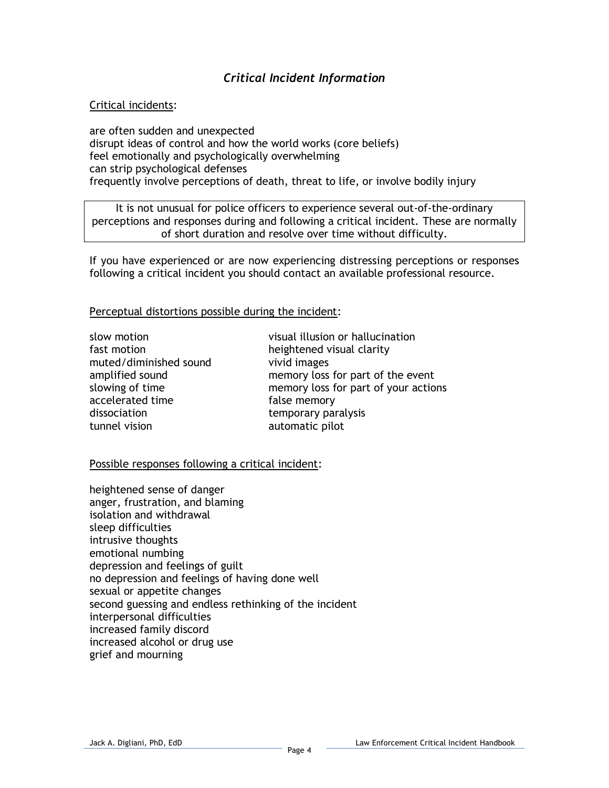## *Critical Incident Information*

Critical incidents:

are often sudden and unexpected disrupt ideas of control and how the world works (core beliefs) feel emotionally and psychologically overwhelming can strip psychological defenses frequently involve perceptions of death, threat to life, or involve bodily injury

It is not unusual for police officers to experience several out-of-the-ordinary perceptions and responses during and following a critical incident. These are normally of short duration and resolve over time without difficulty.

If you have experienced or are now experiencing distressing perceptions or responses following a critical incident you should contact an available professional resource.

#### Perceptual distortions possible during the incident:

| slow motion            |  |
|------------------------|--|
| fast motion            |  |
| muted/diminished sound |  |
| amplified sound        |  |
| slowing of time        |  |
| accelerated time       |  |
| dissociation           |  |
| tunnel vision          |  |
|                        |  |

visual illusion or hallucination heightened visual clarity vivid images memory loss for part of the event memory loss for part of your actions false memory temporary paralysis automatic pilot

#### Possible responses following a critical incident:

heightened sense of danger anger, frustration, and blaming isolation and withdrawal sleep difficulties intrusive thoughts emotional numbing depression and feelings of guilt no depression and feelings of having done well sexual or appetite changes second guessing and endless rethinking of the incident interpersonal difficulties increased family discord increased alcohol or drug use grief and mourning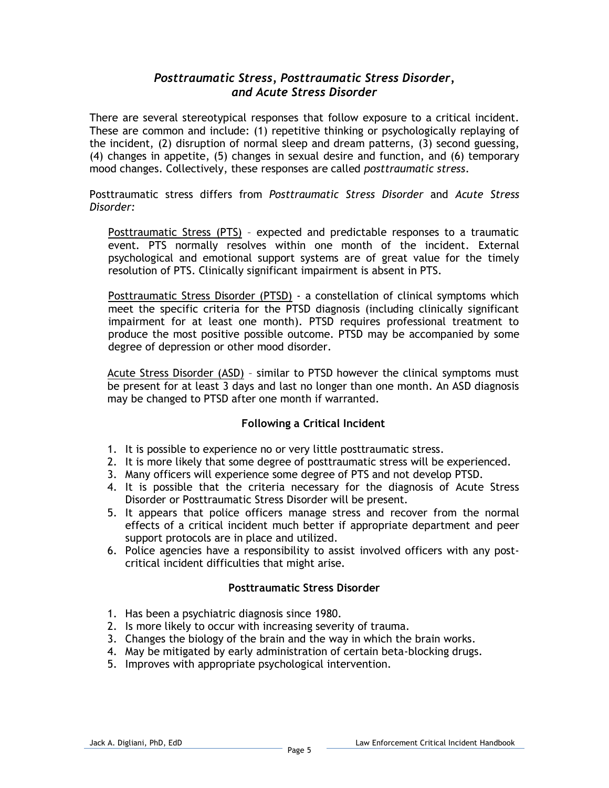## *Posttraumatic Stress, Posttraumatic Stress Disorder, and Acute Stress Disorder*

There are several stereotypical responses that follow exposure to a critical incident. These are common and include: (1) repetitive thinking or psychologically replaying of the incident, (2) disruption of normal sleep and dream patterns, (3) second guessing, (4) changes in appetite, (5) changes in sexual desire and function, and (6) temporary mood changes. Collectively, these responses are called *posttraumatic stress*.

Posttraumatic stress differs from *Posttraumatic Stress Disorder* and *Acute Stress Disorder:*

Posttraumatic Stress (PTS) – expected and predictable responses to a traumatic event. PTS normally resolves within one month of the incident. External psychological and emotional support systems are of great value for the timely resolution of PTS. Clinically significant impairment is absent in PTS.

Posttraumatic Stress Disorder (PTSD) - a constellation of clinical symptoms which meet the specific criteria for the PTSD diagnosis (including clinically significant impairment for at least one month). PTSD requires professional treatment to produce the most positive possible outcome. PTSD may be accompanied by some degree of depression or other mood disorder.

Acute Stress Disorder (ASD) – similar to PTSD however the clinical symptoms must be present for at least 3 days and last no longer than one month. An ASD diagnosis may be changed to PTSD after one month if warranted.

## **Following a Critical Incident**

- 1. It is possible to experience no or very little posttraumatic stress.
- 2. It is more likely that some degree of posttraumatic stress will be experienced.
- 3. Many officers will experience some degree of PTS and not develop PTSD.
- 4. It is possible that the criteria necessary for the diagnosis of Acute Stress Disorder or Posttraumatic Stress Disorder will be present.
- 5. It appears that police officers manage stress and recover from the normal effects of a critical incident much better if appropriate department and peer support protocols are in place and utilized.
- 6. Police agencies have a responsibility to assist involved officers with any postcritical incident difficulties that might arise.

#### **Posttraumatic Stress Disorder**

- 1. Has been a psychiatric diagnosis since 1980.
- 2. Is more likely to occur with increasing severity of trauma.
- 3. Changes the biology of the brain and the way in which the brain works.
- 4. May be mitigated by early administration of certain beta-blocking drugs.
- 5. Improves with appropriate psychological intervention.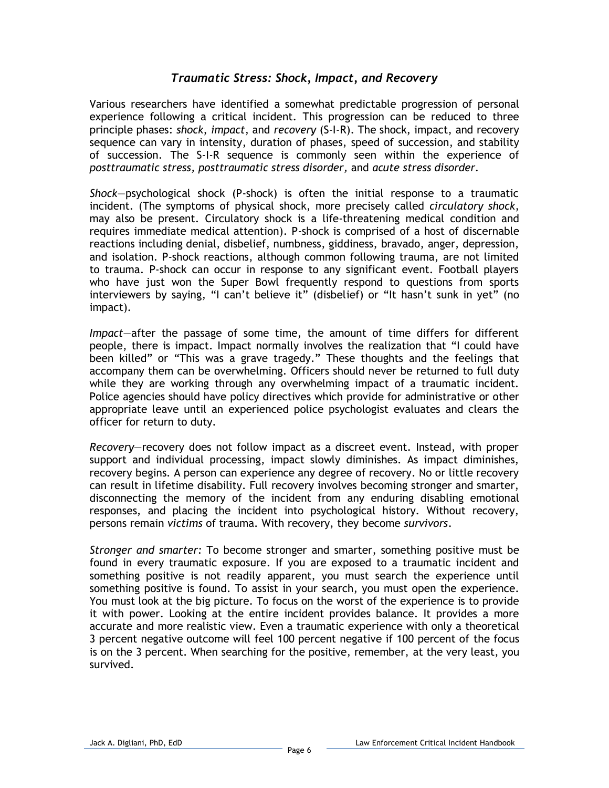## *Traumatic Stress: Shock, Impact, and Recovery*

Various researchers have identified a somewhat predictable progression of personal experience following a critical incident. This progression can be reduced to three principle phases: *shock*, *impact*, and *recovery* (S-I-R). The shock, impact, and recovery sequence can vary in intensity, duration of phases, speed of succession, and stability of succession. The S-I-R sequence is commonly seen within the experience of *posttraumatic stress, posttraumatic stress disorder,* and *acute stress disorder.*

*Shock*—psychological shock (P-shock) is often the initial response to a traumatic incident. (The symptoms of physical shock, more precisely called *circulatory shock*, may also be present. Circulatory shock is a life-threatening medical condition and requires immediate medical attention). P-shock is comprised of a host of discernable reactions including denial, disbelief, numbness, giddiness, bravado, anger, depression, and isolation. P-shock reactions, although common following trauma, are not limited to trauma. P-shock can occur in response to any significant event. Football players who have just won the Super Bowl frequently respond to questions from sports interviewers by saying, "I can't believe it" (disbelief) or "It hasn't sunk in yet" (no impact).

*Impact*—after the passage of some time, the amount of time differs for different people, there is impact. Impact normally involves the realization that "I could have been killed" or "This was a grave tragedy." These thoughts and the feelings that accompany them can be overwhelming. Officers should never be returned to full duty while they are working through any overwhelming impact of a traumatic incident. Police agencies should have policy directives which provide for administrative or other appropriate leave until an experienced police psychologist evaluates and clears the officer for return to duty.

*Recovery*—recovery does not follow impact as a discreet event. Instead, with proper support and individual processing, impact slowly diminishes. As impact diminishes, recovery begins. A person can experience any degree of recovery. No or little recovery can result in lifetime disability. Full recovery involves becoming stronger and smarter, disconnecting the memory of the incident from any enduring disabling emotional responses, and placing the incident into psychological history. Without recovery, persons remain *victims* of trauma. With recovery, they become *survivors*.

*Stronger and smarter:* To become stronger and smarter, something positive must be found in every traumatic exposure. If you are exposed to a traumatic incident and something positive is not readily apparent, you must search the experience until something positive is found. To assist in your search, you must open the experience. You must look at the big picture. To focus on the worst of the experience is to provide it with power. Looking at the entire incident provides balance. It provides a more accurate and more realistic view. Even a traumatic experience with only a theoretical 3 percent negative outcome will feel 100 percent negative if 100 percent of the focus is on the 3 percent. When searching for the positive, remember, at the very least, you survived.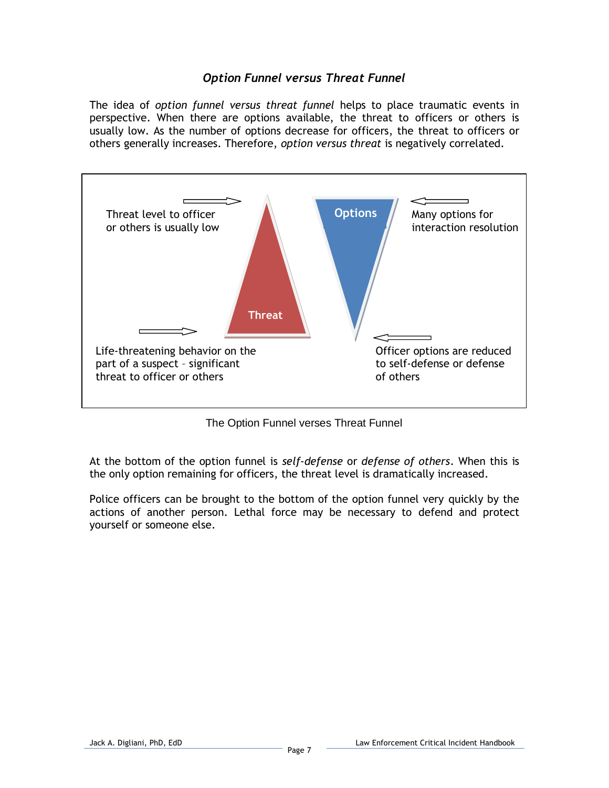## *Option Funnel versus Threat Funnel*

The idea of *option funnel versus threat funnel* helps to place traumatic events in perspective. When there are options available, the threat to officers or others is usually low. As the number of options decrease for officers, the threat to officers or others generally increases. Therefore, *option versus threat* is negatively correlated.



The Option Funnel verses Threat Funnel

At the bottom of the option funnel is *self-defense* or *defense of others*. When this is the only option remaining for officers, the threat level is dramatically increased.

Police officers can be brought to the bottom of the option funnel very quickly by the actions of another person. Lethal force may be necessary to defend and protect yourself or someone else.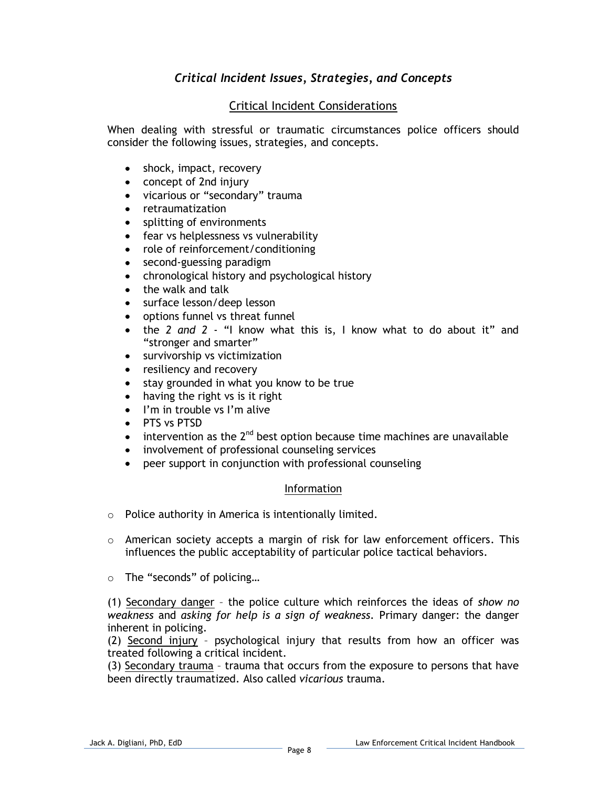## *Critical Incident Issues, Strategies, and Concepts*

## Critical Incident Considerations

When dealing with stressful or traumatic circumstances police officers should consider the following issues, strategies, and concepts.

- $\bullet$ shock, impact, recovery
- concept of 2nd injury
- vicarious or "secondary" trauma  $\bullet$
- retraumatization  $\bullet$
- $\bullet$ splitting of environments
- $\bullet$ fear vs helplessness vs vulnerability
- role of reinforcement/conditioning  $\bullet$
- second-guessing paradigm  $\bullet$
- chronological history and psychological history
- the walk and talk  $\bullet$
- $\bullet$ surface lesson/deep lesson
- options funnel vs threat funnel
- the 2 and 2 "I know what this is, I know what to do about it" and  $\bullet$ "stronger and smarter"
- survivorship vs victimization
- resiliency and recovery
- stay grounded in what you know to be true  $\bullet$
- having the right vs is it right
- I'm in trouble vs I'm alive
- PTS vs PTSD
- intervention as the  $2<sup>nd</sup>$  best option because time machines are unavailable  $\bullet$
- involvement of professional counseling services
- peer support in conjunction with professional counseling  $\bullet$

#### Information

- o Police authority in America is intentionally limited.
- $\circ$  American society accepts a margin of risk for law enforcement officers. This influences the public acceptability of particular police tactical behaviors.
- o The "seconds" of policing...

(1) Secondary danger – the police culture which reinforces the ideas of *show no weakness* and *asking for help is a sign of weakness.* Primary danger: the danger inherent in policing.

(2) Second injury – psychological injury that results from how an officer was treated following a critical incident.

(3) Secondary trauma – trauma that occurs from the exposure to persons that have been directly traumatized. Also called *vicarious* trauma.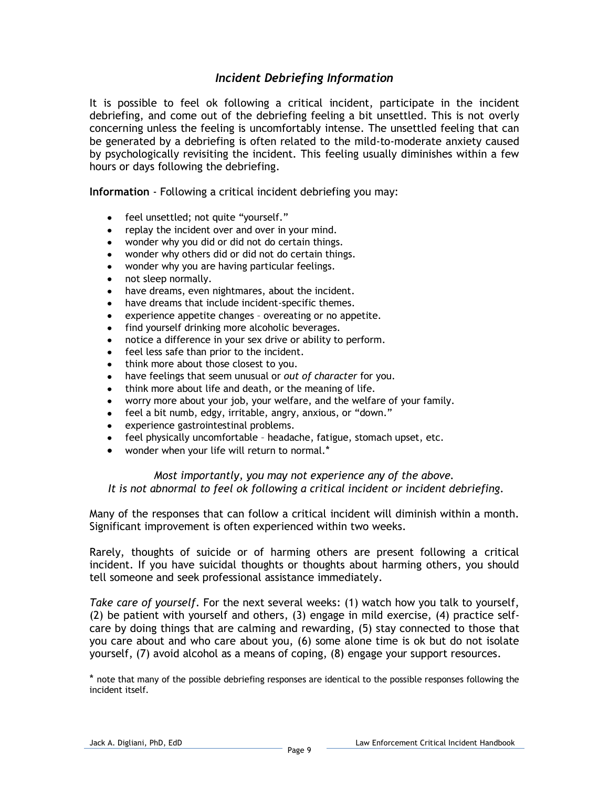## *Incident Debriefing Information*

It is possible to feel ok following a critical incident, participate in the incident debriefing, and come out of the debriefing feeling a bit unsettled. This is not overly concerning unless the feeling is uncomfortably intense. The unsettled feeling that can be generated by a debriefing is often related to the mild-to-moderate anxiety caused by psychologically revisiting the incident. This feeling usually diminishes within a few hours or days following the debriefing.

**Information** - Following a critical incident debriefing you may:

- feel unsettled; not quite "yourself."
- replay the incident over and over in your mind.
- wonder why you did or did not do certain things.
- wonder why others did or did not do certain things.
- wonder why you are having particular feelings.
- not sleep normally.  $\bullet$
- have dreams, even nightmares, about the incident.  $\bullet$
- have dreams that include incident-specific themes.  $\bullet$
- experience appetite changes overeating or no appetite.  $\bullet$
- find yourself drinking more alcoholic beverages.
- notice a difference in your sex drive or ability to perform.
- feel less safe than prior to the incident.  $\bullet$
- think more about those closest to you.  $\bullet$
- have feelings that seem unusual or *out of character* for you.
- think more about life and death, or the meaning of life.
- worry more about your job, your welfare, and the welfare of your family.
- $\bullet$  feel a bit numb, edgy, irritable, angry, anxious, or "down."
- experience gastrointestinal problems.
- feel physically uncomfortable headache, fatigue, stomach upset, etc.
- wonder when your life will return to normal.\*

#### *Most importantly, you may not experience any of the above. It is not abnormal to feel ok following a critical incident or incident debriefing.*

Many of the responses that can follow a critical incident will diminish within a month. Significant improvement is often experienced within two weeks.

Rarely, thoughts of suicide or of harming others are present following a critical incident. If you have suicidal thoughts or thoughts about harming others, you should tell someone and seek professional assistance immediately.

*Take care of yourself*. For the next several weeks: (1) watch how you talk to yourself, (2) be patient with yourself and others, (3) engage in mild exercise, (4) practice selfcare by doing things that are calming and rewarding, (5) stay connected to those that you care about and who care about you, (6) some alone time is ok but do not isolate yourself, (7) avoid alcohol as a means of coping, (8) engage your support resources.

<sup>\*</sup> note that many of the possible debriefing responses are identical to the possible responses following the incident itself.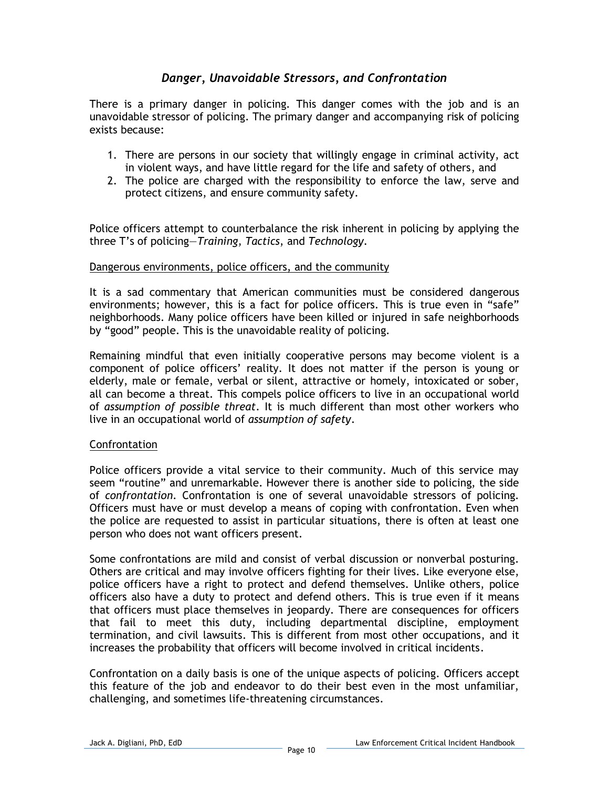## *Danger, Unavoidable Stressors, and Confrontation*

There is a primary danger in policing. This danger comes with the job and is an unavoidable stressor of policing. The primary danger and accompanying risk of policing exists because:

- 1. There are persons in our society that willingly engage in criminal activity, act in violent ways, and have little regard for the life and safety of others, and
- 2. The police are charged with the responsibility to enforce the law, serve and protect citizens, and ensure community safety.

Police officers attempt to counterbalance the risk inherent in policing by applying the three T's of policing—*Training*, *Tactics*, and *Technology*.

#### Dangerous environments, police officers, and the community

It is a sad commentary that American communities must be considered dangerous environments; however, this is a fact for police officers. This is true even in "safe" neighborhoods. Many police officers have been killed or injured in safe neighborhoods by "good" people. This is the unavoidable reality of policing.

Remaining mindful that even initially cooperative persons may become violent is a component of police officers' reality. It does not matter if the person is young or elderly, male or female, verbal or silent, attractive or homely, intoxicated or sober, all can become a threat. This compels police officers to live in an occupational world of *assumption of possible threat*. It is much different than most other workers who live in an occupational world of *assumption of safety*.

#### Confrontation

Police officers provide a vital service to their community. Much of this service may seem "routine" and unremarkable. However there is another side to policing, the side of *confrontation*. Confrontation is one of several unavoidable stressors of policing. Officers must have or must develop a means of coping with confrontation. Even when the police are requested to assist in particular situations, there is often at least one person who does not want officers present.

Some confrontations are mild and consist of verbal discussion or nonverbal posturing. Others are critical and may involve officers fighting for their lives. Like everyone else, police officers have a right to protect and defend themselves. Unlike others, police officers also have a duty to protect and defend others. This is true even if it means that officers must place themselves in jeopardy. There are consequences for officers that fail to meet this duty, including departmental discipline, employment termination, and civil lawsuits. This is different from most other occupations, and it increases the probability that officers will become involved in critical incidents.

Confrontation on a daily basis is one of the unique aspects of policing. Officers accept this feature of the job and endeavor to do their best even in the most unfamiliar, challenging, and sometimes life-threatening circumstances.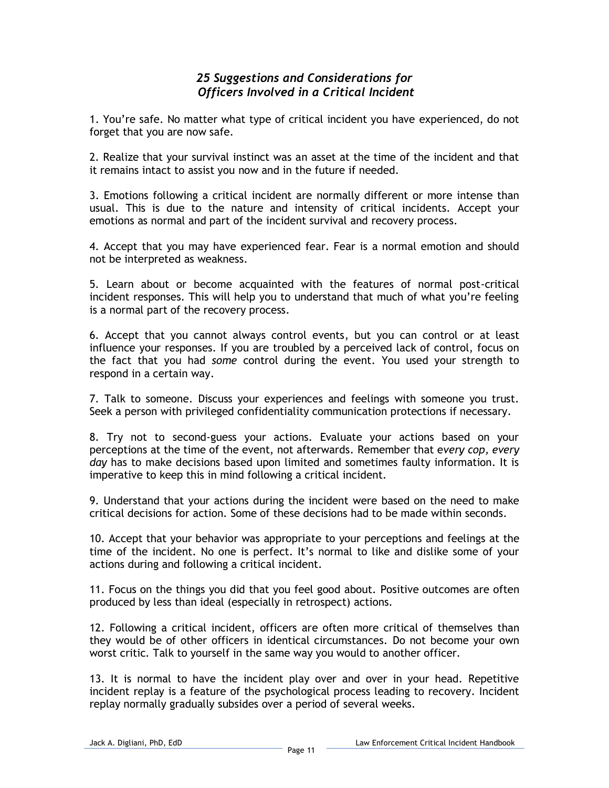## *25 Suggestions and Considerations for Officers Involved in a Critical Incident*

1. You're safe. No matter what type of critical incident you have experienced, do not forget that you are now safe.

2. Realize that your survival instinct was an asset at the time of the incident and that it remains intact to assist you now and in the future if needed.

3. Emotions following a critical incident are normally different or more intense than usual. This is due to the nature and intensity of critical incidents. Accept your emotions as normal and part of the incident survival and recovery process.

4. Accept that you may have experienced fear. Fear is a normal emotion and should not be interpreted as weakness.

5. Learn about or become acquainted with the features of normal post-critical incident responses. This will help you to understand that much of what you're feeling is a normal part of the recovery process.

6. Accept that you cannot always control events, but you can control or at least influence your responses. If you are troubled by a perceived lack of control, focus on the fact that you had *some* control during the event. You used your strength to respond in a certain way.

7. Talk to someone. Discuss your experiences and feelings with someone you trust. Seek a person with privileged confidentiality communication protections if necessary.

8. Try not to second-guess your actions. Evaluate your actions based on your perceptions at the time of the event, not afterwards. Remember that e*very cop, every day* has to make decisions based upon limited and sometimes faulty information. It is imperative to keep this in mind following a critical incident.

9. Understand that your actions during the incident were based on the need to make critical decisions for action. Some of these decisions had to be made within seconds.

10. Accept that your behavior was appropriate to your perceptions and feelings at the time of the incident. No one is perfect. It's normal to like and dislike some of your actions during and following a critical incident.

11. Focus on the things you did that you feel good about. Positive outcomes are often produced by less than ideal (especially in retrospect) actions.

12. Following a critical incident, officers are often more critical of themselves than they would be of other officers in identical circumstances. Do not become your own worst critic. Talk to yourself in the same way you would to another officer.

13. It is normal to have the incident play over and over in your head. Repetitive incident replay is a feature of the psychological process leading to recovery. Incident replay normally gradually subsides over a period of several weeks.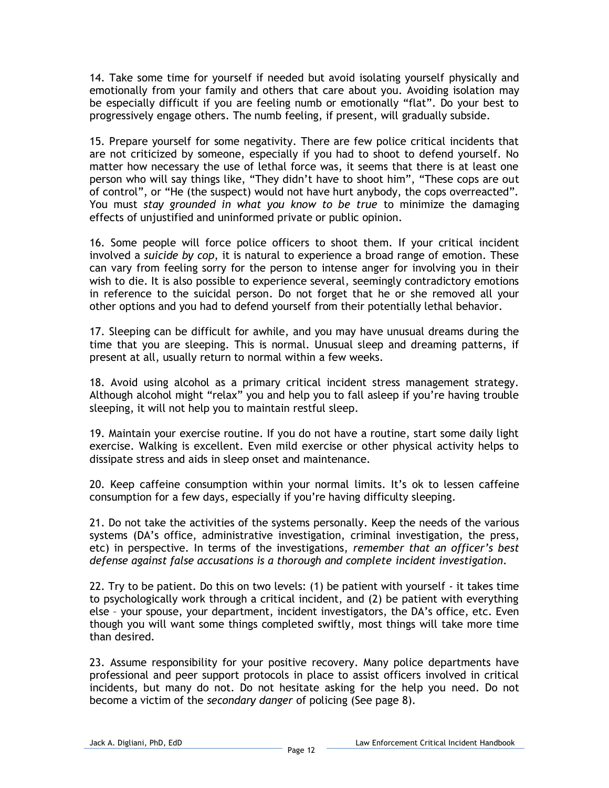14. Take some time for yourself if needed but avoid isolating yourself physically and emotionally from your family and others that care about you. Avoiding isolation may be especially difficult if you are feeling numb or emotionally "flat". Do your best to progressively engage others. The numb feeling, if present, will gradually subside.

15. Prepare yourself for some negativity. There are few police critical incidents that are not criticized by someone, especially if you had to shoot to defend yourself. No matter how necessary the use of lethal force was, it seems that there is at least one person who will say things like, "They didn't have to shoot him", "These cops are out of control", or "He (the suspect) would not have hurt anybody, the cops overreacted". You must *stay grounded in what you know to be true* to minimize the damaging effects of unjustified and uninformed private or public opinion.

16. Some people will force police officers to shoot them. If your critical incident involved a *suicide by cop*, it is natural to experience a broad range of emotion. These can vary from feeling sorry for the person to intense anger for involving you in their wish to die. It is also possible to experience several, seemingly contradictory emotions in reference to the suicidal person. Do not forget that he or she removed all your other options and you had to defend yourself from their potentially lethal behavior.

17. Sleeping can be difficult for awhile, and you may have unusual dreams during the time that you are sleeping. This is normal. Unusual sleep and dreaming patterns, if present at all, usually return to normal within a few weeks.

18. Avoid using alcohol as a primary critical incident stress management strategy. Although alcohol might "relax" you and help you to fall asleep if you're having trouble sleeping, it will not help you to maintain restful sleep.

19. Maintain your exercise routine. If you do not have a routine, start some daily light exercise. Walking is excellent. Even mild exercise or other physical activity helps to dissipate stress and aids in sleep onset and maintenance.

20. Keep caffeine consumption within your normal limits. It's ok to lessen caffeine consumption for a few days, especially if you're having difficulty sleeping.

21. Do not take the activities of the systems personally. Keep the needs of the various systems (DA's office, administrative investigation, criminal investigation, the press, etc) in perspective. In terms of the investigations, *remember that an officer's best defense against false accusations is a thorough and complete incident investigation*.

22. Try to be patient. Do this on two levels: (1) be patient with yourself - it takes time to psychologically work through a critical incident, and (2) be patient with everything else – your spouse, your department, incident investigators, the DA's office, etc. Even though you will want some things completed swiftly, most things will take more time than desired.

23. Assume responsibility for your positive recovery. Many police departments have professional and peer support protocols in place to assist officers involved in critical incidents, but many do not. Do not hesitate asking for the help you need. Do not become a victim of the *secondary danger* of policing (See page 8).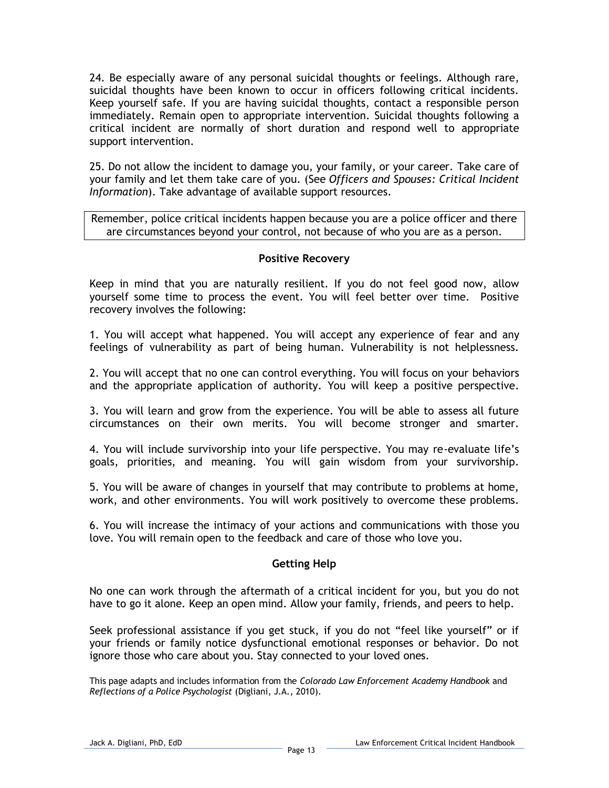24. Be especially aware of any personal suicidal thoughts or feelings. Although rare, suicidal thoughts have been known to occur in officers following critical incidents. Keep yourself safe. If you are having suicidal thoughts, contact a responsible person immediately. Remain open to appropriate intervention. Suicidal thoughts following a critical incident are normally of short duration and respond well to appropriate support intervention.

25. Do not allow the incident to damage you, your family, or your career. Take care of your family and let them take care of you. (See *Officers and Spouses: Critical Incident Information*). Take advantage of available support resources.

Remember, police critical incidents happen because you are a police officer and there are circumstances beyond your control, not because of who you are as a person.

#### **Positive Recovery**

Keep in mind that you are naturally resilient. If you do not feel good now, allow yourself some time to process the event. You will feel better over time. Positive recovery involves the following:

1. You will accept what happened. You will accept any experience of fear and any feelings of vulnerability as part of being human. Vulnerability is not helplessness.

2. You will accept that no one can control everything. You will focus on your behaviors and the appropriate application of authority. You will keep a positive perspective.

3. You will learn and grow from the experience. You will be able to assess all future circumstances on their own merits. You will become stronger and smarter.

4. You will include survivorship into your life perspective. You may re-evaluate life's goals, priorities, and meaning. You will gain wisdom from your survivorship.

5. You will be aware of changes in yourself that may contribute to problems at home, work, and other environments. You will work positively to overcome these problems.

6. You will increase the intimacy of your actions and communications with those you love. You will remain open to the feedback and care of those who love you.

## **Getting Help**

No one can work through the aftermath of a critical incident for you, but you do not have to go it alone. Keep an open mind. Allow your family, friends, and peers to help.

Seek professional assistance if you get stuck, if you do not "feel like yourself" or if your friends or family notice dysfunctional emotional responses or behavior. Do not ignore those who care about you. Stay connected to your loved ones.

This page adapts and includes information from the *Colorado Law Enforcement Academy Handbook* and *Reflections of a Police Psychologist* (Digliani, J.A., 2010).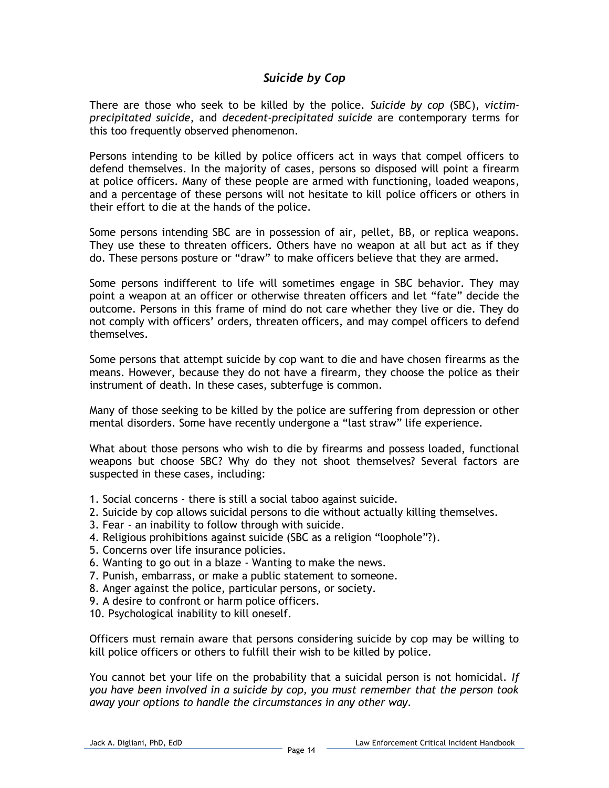## *Suicide by Cop*

There are those who seek to be killed by the police. *Suicide by cop* (SBC), *victimprecipitated suicide*, and *decedent-precipitated suicide* are contemporary terms for this too frequently observed phenomenon.

Persons intending to be killed by police officers act in ways that compel officers to defend themselves. In the majority of cases, persons so disposed will point a firearm at police officers. Many of these people are armed with functioning, loaded weapons, and a percentage of these persons will not hesitate to kill police officers or others in their effort to die at the hands of the police.

Some persons intending SBC are in possession of air, pellet, BB, or replica weapons. They use these to threaten officers. Others have no weapon at all but act as if they do. These persons posture or "draw" to make officers believe that they are armed.

Some persons indifferent to life will sometimes engage in SBC behavior. They may point a weapon at an officer or otherwise threaten officers and let "fate" decide the outcome. Persons in this frame of mind do not care whether they live or die. They do not comply with officers' orders, threaten officers, and may compel officers to defend themselves.

Some persons that attempt suicide by cop want to die and have chosen firearms as the means. However, because they do not have a firearm, they choose the police as their instrument of death. In these cases, subterfuge is common.

Many of those seeking to be killed by the police are suffering from depression or other mental disorders. Some have recently undergone a "last straw" life experience.

What about those persons who wish to die by firearms and possess loaded, functional weapons but choose SBC? Why do they not shoot themselves? Several factors are suspected in these cases, including:

- 1. Social concerns there is still a social taboo against suicide.
- 2. Suicide by cop allows suicidal persons to die without actually killing themselves.
- 3. Fear an inability to follow through with suicide.
- 4. Religious prohibitions against suicide (SBC as a religion "loophole"?).
- 5. Concerns over life insurance policies.
- 6. Wanting to go out in a blaze Wanting to make the news.
- 7. Punish, embarrass, or make a public statement to someone.
- 8. Anger against the police, particular persons, or society.
- 9. A desire to confront or harm police officers.
- 10. Psychological inability to kill oneself.

Officers must remain aware that persons considering suicide by cop may be willing to kill police officers or others to fulfill their wish to be killed by police.

You cannot bet your life on the probability that a suicidal person is not homicidal. *If you have been involved in a suicide by cop, you must remember that the person took away your options to handle the circumstances in any other way.*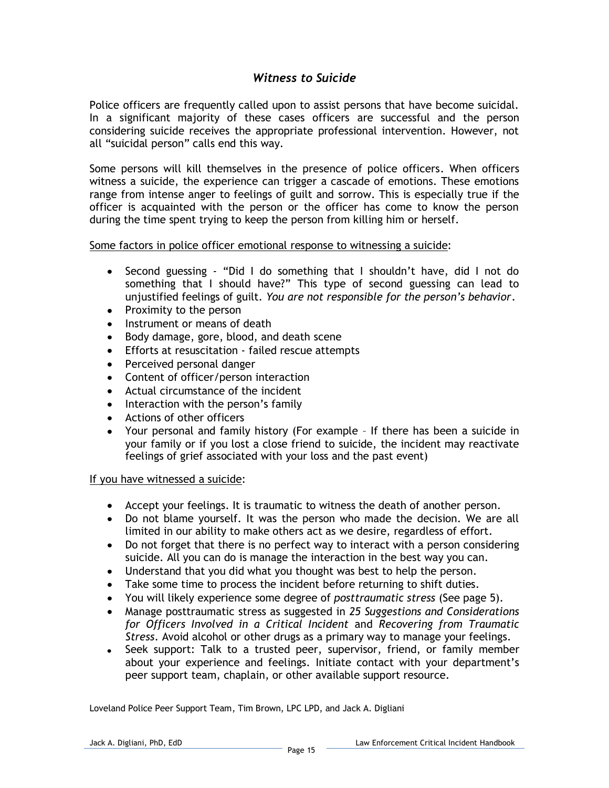## *Witness to Suicide*

Police officers are frequently called upon to assist persons that have become suicidal. In a significant majority of these cases officers are successful and the person considering suicide receives the appropriate professional intervention. However, not all "suicidal person" calls end this way.

Some persons will kill themselves in the presence of police officers. When officers witness a suicide, the experience can trigger a cascade of emotions. These emotions range from intense anger to feelings of guilt and sorrow. This is especially true if the officer is acquainted with the person or the officer has come to know the person during the time spent trying to keep the person from killing him or herself.

#### Some factors in police officer emotional response to witnessing a suicide:

- $\bullet$ Second guessing - "Did I do something that I shouldn't have, did I not do something that I should have?" This type of second guessing can lead to unjustified feelings of guilt. *You are not responsible for the person's behavior*.
- Proximity to the person
- Instrument or means of death
- Body damage, gore, blood, and death scene
- Efforts at resuscitation failed rescue attempts
- Perceived personal danger
- Content of officer/person interaction
- Actual circumstance of the incident
- Interaction with the person's family
- Actions of other officers
- Your personal and family history (For example If there has been a suicide in your family or if you lost a close friend to suicide, the incident may reactivate feelings of grief associated with your loss and the past event)

#### If you have witnessed a suicide:

- Accept your feelings. It is traumatic to witness the death of another person.
- Do not blame yourself. It was the person who made the decision. We are all limited in our ability to make others act as we desire, regardless of effort.
- Do not forget that there is no perfect way to interact with a person considering suicide. All you can do is manage the interaction in the best way you can.
- Understand that you did what you thought was best to help the person.
- Take some time to process the incident before returning to shift duties.
- You will likely experience some degree of *posttraumatic stress* (See page 5).
- Manage posttraumatic stress as suggested in *25 Suggestions and Considerations for Officers Involved in a Critical Incident* and *Recovering from Traumatic Stress*. Avoid alcohol or other drugs as a primary way to manage your feelings.
- $\bullet$ Seek support: Talk to a trusted peer, supervisor, friend, or family member about your experience and feelings. Initiate contact with your department's peer support team, chaplain, or other available support resource.

Loveland Police Peer Support Team, Tim Brown, LPC LPD, and Jack A. Digliani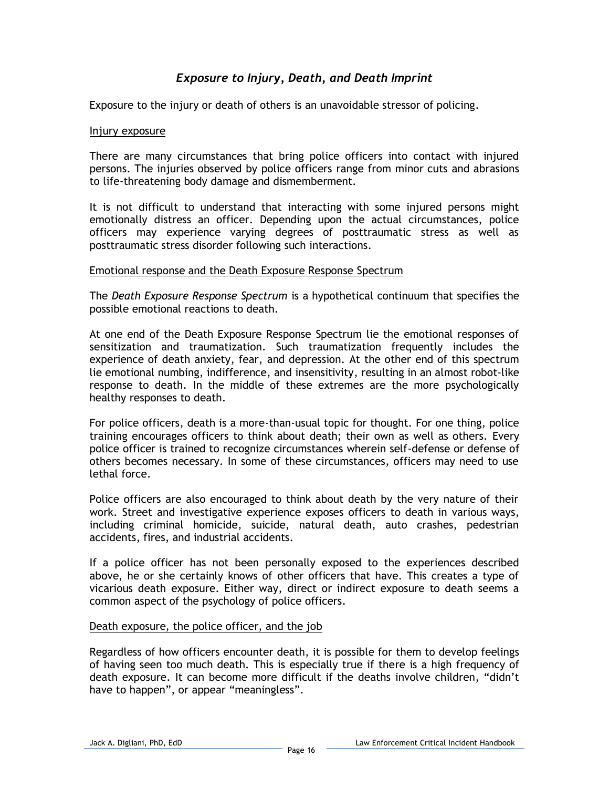## *Exposure to Injury, Death, and Death Imprint*

Exposure to the injury or death of others is an unavoidable stressor of policing.

#### Injury exposure

There are many circumstances that bring police officers into contact with injured persons. The injuries observed by police officers range from minor cuts and abrasions to life-threatening body damage and dismemberment.

It is not difficult to understand that interacting with some injured persons might emotionally distress an officer. Depending upon the actual circumstances, police officers may experience varying degrees of posttraumatic stress as well as posttraumatic stress disorder following such interactions.

#### Emotional response and the Death Exposure Response Spectrum

The *Death Exposure Response Spectrum* is a hypothetical continuum that specifies the possible emotional reactions to death.

At one end of the Death Exposure Response Spectrum lie the emotional responses of sensitization and traumatization. Such traumatization frequently includes the experience of death anxiety, fear, and depression. At the other end of this spectrum lie emotional numbing, indifference, and insensitivity, resulting in an almost robot-like response to death. In the middle of these extremes are the more psychologically healthy responses to death.

For police officers, death is a more-than-usual topic for thought. For one thing, police training encourages officers to think about death; their own as well as others. Every police officer is trained to recognize circumstances wherein self-defense or defense of others becomes necessary. In some of these circumstances, officers may need to use lethal force.

Police officers are also encouraged to think about death by the very nature of their work. Street and investigative experience exposes officers to death in various ways, including criminal homicide, suicide, natural death, auto crashes, pedestrian accidents, fires, and industrial accidents.

If a police officer has not been personally exposed to the experiences described above, he or she certainly knows of other officers that have. This creates a type of vicarious death exposure. Either way, direct or indirect exposure to death seems a common aspect of the psychology of police officers.

#### Death exposure, the police officer, and the job

Regardless of how officers encounter death, it is possible for them to develop feelings of having seen too much death. This is especially true if there is a high frequency of death exposure. It can become more difficult if the deaths involve children, "didn't have to happen", or appear "meaningless".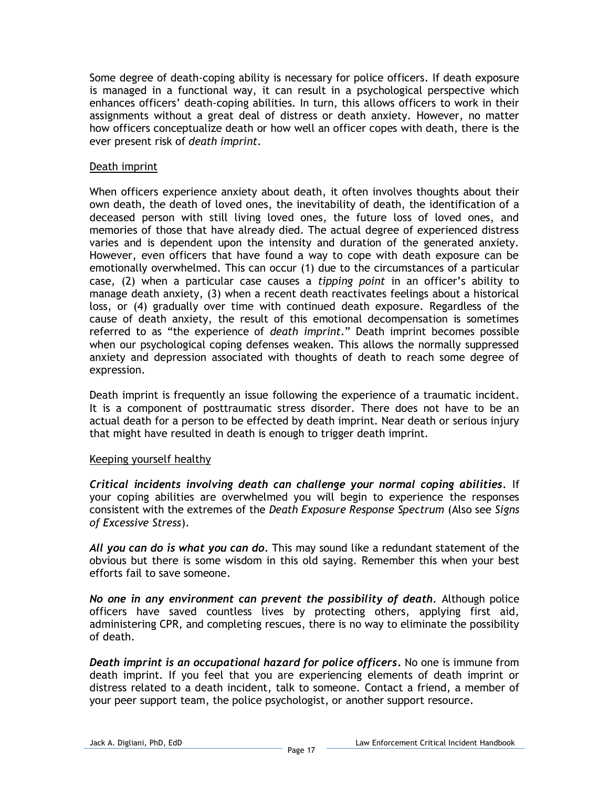Some degree of death-coping ability is necessary for police officers. If death exposure is managed in a functional way, it can result in a psychological perspective which enhances officers' death-coping abilities. In turn, this allows officers to work in their assignments without a great deal of distress or death anxiety. However, no matter how officers conceptualize death or how well an officer copes with death, there is the ever present risk of *death imprint*.

#### Death imprint

When officers experience anxiety about death, it often involves thoughts about their own death, the death of loved ones, the inevitability of death, the identification of a deceased person with still living loved ones, the future loss of loved ones, and memories of those that have already died. The actual degree of experienced distress varies and is dependent upon the intensity and duration of the generated anxiety. However, even officers that have found a way to cope with death exposure can be emotionally overwhelmed. This can occur (1) due to the circumstances of a particular case, (2) when a particular case causes a *tipping point* in an officer's ability to manage death anxiety, (3) when a recent death reactivates feelings about a historical loss, or (4) gradually over time with continued death exposure. Regardless of the cause of death anxiety, the result of this emotional decompensation is sometimes referred to as "the experience of *death imprint*." Death imprint becomes possible when our psychological coping defenses weaken. This allows the normally suppressed anxiety and depression associated with thoughts of death to reach some degree of expression.

Death imprint is frequently an issue following the experience of a traumatic incident. It is a component of posttraumatic stress disorder. There does not have to be an actual death for a person to be effected by death imprint. Near death or serious injury that might have resulted in death is enough to trigger death imprint.

#### Keeping yourself healthy

*Critical incidents involving death can challenge your normal coping abilities.* If your coping abilities are overwhelmed you will begin to experience the responses consistent with the extremes of the *Death Exposure Response Spectrum* (Also see *Signs of Excessive Stress*).

*All you can do is what you can do.* This may sound like a redundant statement of the obvious but there is some wisdom in this old saying. Remember this when your best efforts fail to save someone.

*No one in any environment can prevent the possibility of death.* Although police officers have saved countless lives by protecting others, applying first aid, administering CPR, and completing rescues, there is no way to eliminate the possibility of death.

*Death imprint is an occupational hazard for police officers***.** No one is immune from death imprint. If you feel that you are experiencing elements of death imprint or distress related to a death incident, talk to someone. Contact a friend, a member of your peer support team, the police psychologist, or another support resource.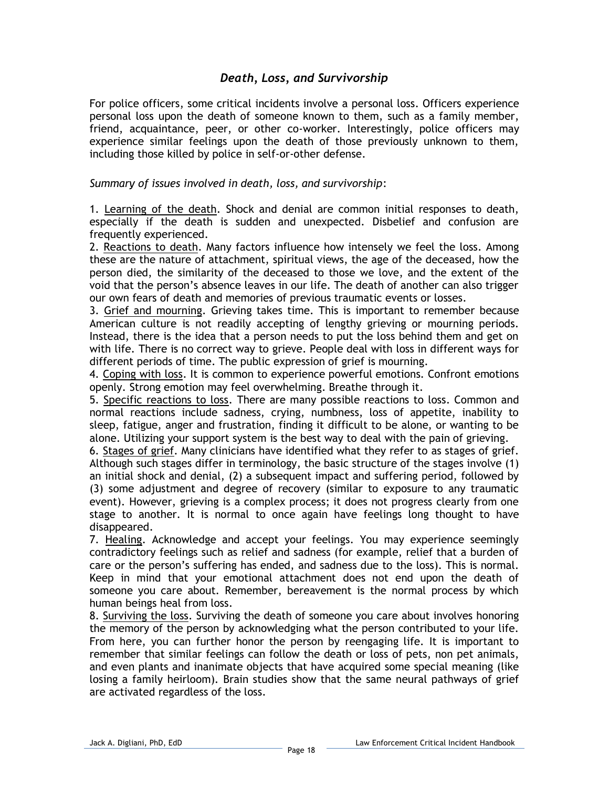## *Death, Loss, and Survivorship*

For police officers, some critical incidents involve a personal loss. Officers experience personal loss upon the death of someone known to them, such as a family member, friend, acquaintance, peer, or other co-worker. Interestingly, police officers may experience similar feelings upon the death of those previously unknown to them, including those killed by police in self-or-other defense.

*Summary of issues involved in death, loss, and survivorship*:

1. Learning of the death. Shock and denial are common initial responses to death, especially if the death is sudden and unexpected. Disbelief and confusion are frequently experienced.

2. Reactions to death. Many factors influence how intensely we feel the loss. Among these are the nature of attachment, spiritual views, the age of the deceased, how the person died, the similarity of the deceased to those we love, and the extent of the void that the person's absence leaves in our life. The death of another can also trigger our own fears of death and memories of previous traumatic events or losses.

3. Grief and mourning. Grieving takes time. This is important to remember because American culture is not readily accepting of lengthy grieving or mourning periods. Instead, there is the idea that a person needs to put the loss behind them and get on with life. There is no correct way to grieve. People deal with loss in different ways for different periods of time. The public expression of grief is mourning.

4. Coping with loss. It is common to experience powerful emotions. Confront emotions openly. Strong emotion may feel overwhelming. Breathe through it.

5. Specific reactions to loss. There are many possible reactions to loss. Common and normal reactions include sadness, crying, numbness, loss of appetite, inability to sleep, fatigue, anger and frustration, finding it difficult to be alone, or wanting to be alone. Utilizing your support system is the best way to deal with the pain of grieving.

6. Stages of grief. Many clinicians have identified what they refer to as stages of grief. Although such stages differ in terminology, the basic structure of the stages involve (1) an initial shock and denial, (2) a subsequent impact and suffering period, followed by (3) some adjustment and degree of recovery (similar to exposure to any traumatic event). However, grieving is a complex process; it does not progress clearly from one stage to another. It is normal to once again have feelings long thought to have disappeared.

7. Healing. Acknowledge and accept your feelings. You may experience seemingly contradictory feelings such as relief and sadness (for example, relief that a burden of care or the person's suffering has ended, and sadness due to the loss). This is normal. Keep in mind that your emotional attachment does not end upon the death of someone you care about. Remember, bereavement is the normal process by which human beings heal from loss.

8. Surviving the loss. Surviving the death of someone you care about involves honoring the memory of the person by acknowledging what the person contributed to your life. From here, you can further honor the person by reengaging life. It is important to remember that similar feelings can follow the death or loss of pets, non pet animals, and even plants and inanimate objects that have acquired some special meaning (like losing a family heirloom). Brain studies show that the same neural pathways of grief are activated regardless of the loss.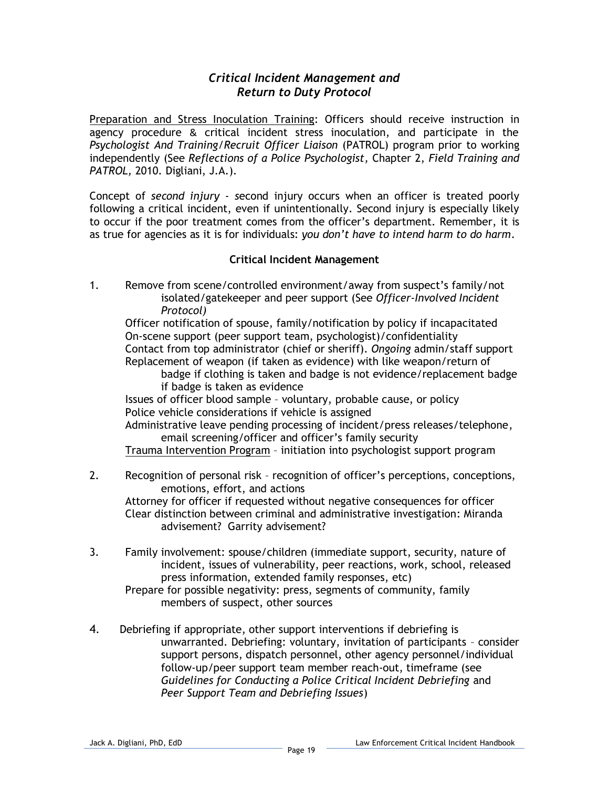## *Critical Incident Management and Return to Duty Protocol*

Preparation and Stress Inoculation Training: Officers should receive instruction in agency procedure & critical incident stress inoculation, and participate in the *Psychologist And Training/Recruit Officer Liaison* (PATROL) program prior to working independently (See *Reflections of a Police Psychologist,* Chapter 2, *Field Training and PATROL,* 2010. Digliani, J.A.).

Concept of *second injury - s*econd injury occurs when an officer is treated poorly following a critical incident, even if unintentionally. Second injury is especially likely to occur if the poor treatment comes from the officer's department. Remember, it is as true for agencies as it is for individuals: *you don't have to intend harm to do harm*.

## **Critical Incident Management**

1. Remove from scene/controlled environment/away from suspect's family/not isolated/gatekeeper and peer support (See *Officer-Involved Incident Protocol)*

Officer notification of spouse, family/notification by policy if incapacitated On-scene support (peer support team, psychologist)/confidentiality Contact from top administrator (chief or sheriff). *Ongoing* admin/staff support Replacement of weapon (if taken as evidence) with like weapon/return of

badge if clothing is taken and badge is not evidence/replacement badge if badge is taken as evidence

Issues of officer blood sample – voluntary, probable cause, or policy Police vehicle considerations if vehicle is assigned

Administrative leave pending processing of incident/press releases/telephone, email screening/officer and officer's family security

Trauma Intervention Program – initiation into psychologist support program

- 2. Recognition of personal risk recognition of officer's perceptions, conceptions, emotions, effort, and actions Attorney for officer if requested without negative consequences for officer Clear distinction between criminal and administrative investigation: Miranda advisement? Garrity advisement?
- 3. Family involvement: spouse/children (immediate support, security, nature of incident, issues of vulnerability, peer reactions, work, school, released press information, extended family responses, etc)

Prepare for possible negativity: press, segments of community, family members of suspect, other sources

4. Debriefing if appropriate, other support interventions if debriefing is unwarranted. Debriefing: voluntary, invitation of participants – consider support persons, dispatch personnel, other agency personnel/individual follow-up/peer support team member reach-out, timeframe (see *Guidelines for Conducting a Police Critical Incident Debriefing* and *Peer Support Team and Debriefing Issues*)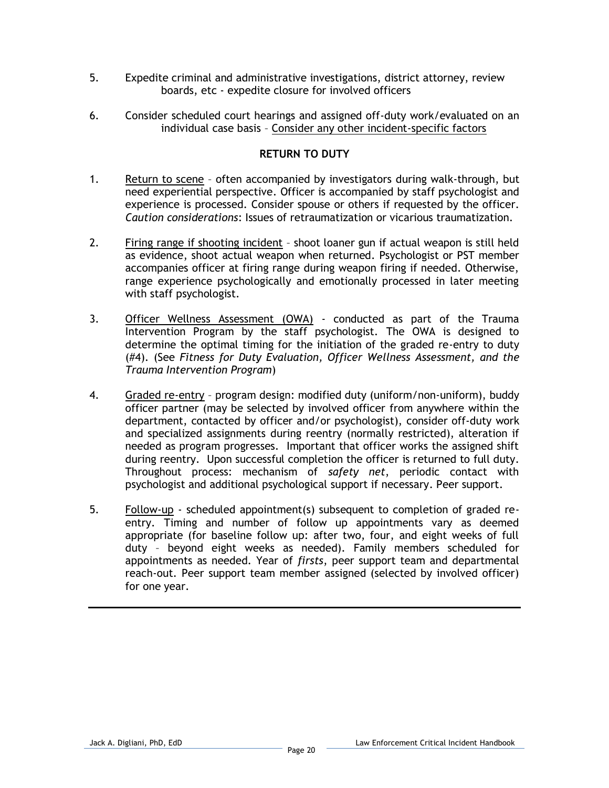- 5. Expedite criminal and administrative investigations, district attorney, review boards, etc - expedite closure for involved officers
- 6. Consider scheduled court hearings and assigned off-duty work/evaluated on an individual case basis – Consider any other incident-specific factors

## **RETURN TO DUTY**

- 1. Return to scene often accompanied by investigators during walk-through, but need experiential perspective. Officer is accompanied by staff psychologist and experience is processed. Consider spouse or others if requested by the officer. *Caution considerations*: Issues of retraumatization or vicarious traumatization.
- 2. Firing range if shooting incident shoot loaner gun if actual weapon is still held as evidence, shoot actual weapon when returned. Psychologist or PST member accompanies officer at firing range during weapon firing if needed. Otherwise, range experience psychologically and emotionally processed in later meeting with staff psychologist.
- 3. Officer Wellness Assessment (OWA) conducted as part of the Trauma Intervention Program by the staff psychologist. The OWA is designed to determine the optimal timing for the initiation of the graded re-entry to duty (#4). (See *Fitness for Duty Evaluation, Officer Wellness Assessment, and the Trauma Intervention Program*)
- 4. Graded re-entry program design: modified duty (uniform/non-uniform), buddy officer partner (may be selected by involved officer from anywhere within the department, contacted by officer and/or psychologist), consider off-duty work and specialized assignments during reentry (normally restricted), alteration if needed as program progresses. Important that officer works the assigned shift during reentry. Upon successful completion the officer is returned to full duty. Throughout process: mechanism of *safety net*, periodic contact with psychologist and additional psychological support if necessary. Peer support.
- 5. Follow-up scheduled appointment(s) subsequent to completion of graded reentry. Timing and number of follow up appointments vary as deemed appropriate (for baseline follow up: after two, four, and eight weeks of full duty – beyond eight weeks as needed). Family members scheduled for appointments as needed. Year of *firsts*, peer support team and departmental reach-out. Peer support team member assigned (selected by involved officer) for one year.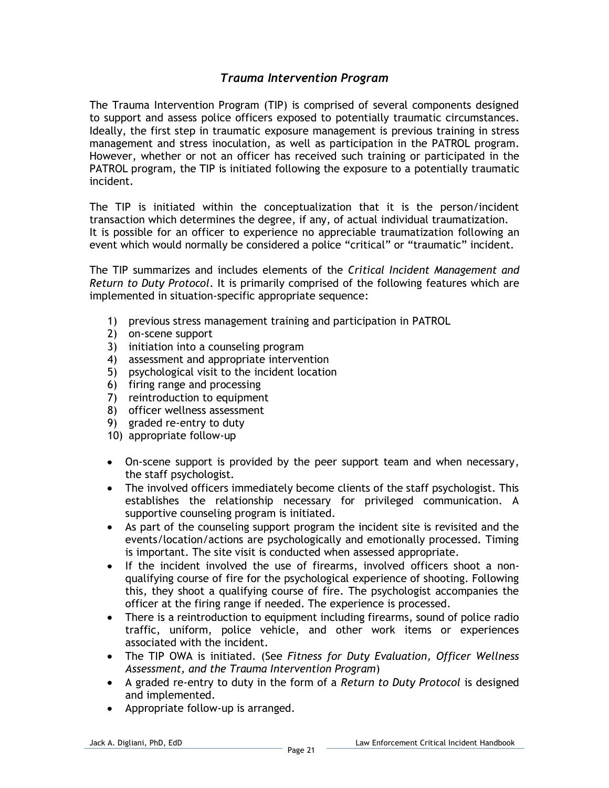## *Trauma Intervention Program*

The Trauma Intervention Program (TIP) is comprised of several components designed to support and assess police officers exposed to potentially traumatic circumstances. Ideally, the first step in traumatic exposure management is previous training in stress management and stress inoculation, as well as participation in the PATROL program. However, whether or not an officer has received such training or participated in the PATROL program, the TIP is initiated following the exposure to a potentially traumatic incident.

The TIP is initiated within the conceptualization that it is the person/incident transaction which determines the degree, if any, of actual individual traumatization. It is possible for an officer to experience no appreciable traumatization following an event which would normally be considered a police "critical" or "traumatic" incident.

The TIP summarizes and includes elements of the *Critical Incident Management and Return to Duty Protocol*. It is primarily comprised of the following features which are implemented in situation-specific appropriate sequence:

- 1) previous stress management training and participation in PATROL
- 2) on-scene support
- 3) initiation into a counseling program
- 4) assessment and appropriate intervention
- 5) psychological visit to the incident location
- 6) firing range and processing
- 7) reintroduction to equipment
- 8) officer wellness assessment
- 9) graded re-entry to duty
- 10) appropriate follow-up
- On-scene support is provided by the peer support team and when necessary, the staff psychologist.
- The involved officers immediately become clients of the staff psychologist. This establishes the relationship necessary for privileged communication. A supportive counseling program is initiated.
- As part of the counseling support program the incident site is revisited and the events/location/actions are psychologically and emotionally processed. Timing is important. The site visit is conducted when assessed appropriate.
- If the incident involved the use of firearms, involved officers shoot a nonqualifying course of fire for the psychological experience of shooting. Following this, they shoot a qualifying course of fire. The psychologist accompanies the officer at the firing range if needed. The experience is processed.
- There is a reintroduction to equipment including firearms, sound of police radio traffic, uniform, police vehicle, and other work items or experiences associated with the incident.
- The TIP OWA is initiated. (See *Fitness for Duty Evaluation, Officer Wellness Assessment, and the Trauma Intervention Program*)
- A graded re-entry to duty in the form of a *Return to Duty Protocol* is designed and implemented.
- Appropriate follow-up is arranged.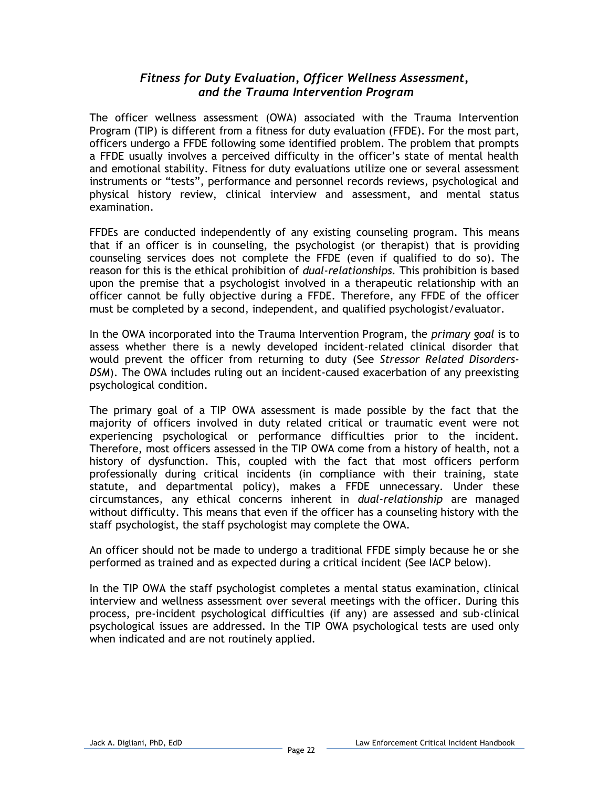## *Fitness for Duty Evaluation, Officer Wellness Assessment, and the Trauma Intervention Program*

The officer wellness assessment (OWA) associated with the Trauma Intervention Program (TIP) is different from a fitness for duty evaluation (FFDE). For the most part, officers undergo a FFDE following some identified problem. The problem that prompts a FFDE usually involves a perceived difficulty in the officer's state of mental health and emotional stability. Fitness for duty evaluations utilize one or several assessment instruments or "tests", performance and personnel records reviews, psychological and physical history review, clinical interview and assessment, and mental status examination.

FFDEs are conducted independently of any existing counseling program. This means that if an officer is in counseling, the psychologist (or therapist) that is providing counseling services does not complete the FFDE (even if qualified to do so). The reason for this is the ethical prohibition of *dual-relationships.* This prohibition is based upon the premise that a psychologist involved in a therapeutic relationship with an officer cannot be fully objective during a FFDE. Therefore, any FFDE of the officer must be completed by a second, independent, and qualified psychologist/evaluator.

In the OWA incorporated into the Trauma Intervention Program, the *primary goal* is to assess whether there is a newly developed incident-related clinical disorder that would prevent the officer from returning to duty (See *Stressor Related Disorders-DSM*). The OWA includes ruling out an incident-caused exacerbation of any preexisting psychological condition.

The primary goal of a TIP OWA assessment is made possible by the fact that the majority of officers involved in duty related critical or traumatic event were not experiencing psychological or performance difficulties prior to the incident. Therefore, most officers assessed in the TIP OWA come from a history of health, not a history of dysfunction. This, coupled with the fact that most officers perform professionally during critical incidents (in compliance with their training, state statute, and departmental policy), makes a FFDE unnecessary. Under these circumstances, any ethical concerns inherent in *dual-relationship* are managed without difficulty. This means that even if the officer has a counseling history with the staff psychologist, the staff psychologist may complete the OWA.

An officer should not be made to undergo a traditional FFDE simply because he or she performed as trained and as expected during a critical incident (See IACP below).

In the TIP OWA the staff psychologist completes a mental status examination, clinical interview and wellness assessment over several meetings with the officer. During this process, pre-incident psychological difficulties (if any) are assessed and sub-clinical psychological issues are addressed. In the TIP OWA psychological tests are used only when indicated and are not routinely applied.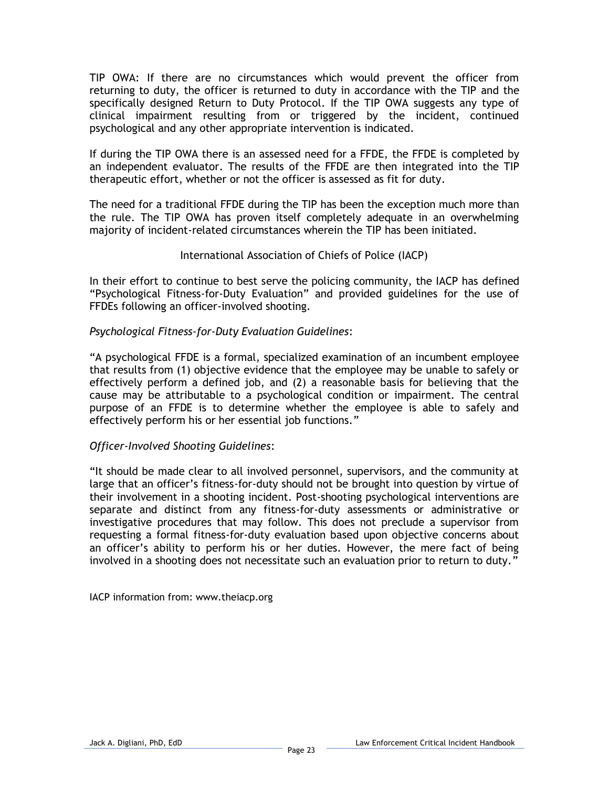TIP OWA: If there are no circumstances which would prevent the officer from returning to duty, the officer is returned to duty in accordance with the TIP and the specifically designed Return to Duty Protocol. If the TIP OWA suggests any type of clinical impairment resulting from or triggered by the incident, continued psychological and any other appropriate intervention is indicated.

If during the TIP OWA there is an assessed need for a FFDE, the FFDE is completed by an independent evaluator. The results of the FFDE are then integrated into the TIP therapeutic effort, whether or not the officer is assessed as fit for duty.

The need for a traditional FFDE during the TIP has been the exception much more than the rule. The TIP OWA has proven itself completely adequate in an overwhelming majority of incident-related circumstances wherein the TIP has been initiated.

## International Association of Chiefs of Police (IACP)

In their effort to continue to best serve the policing community, the IACP has defined "Psychological Fitness-for-Duty Evaluation" and provided guidelines for the use of FFDEs following an officer-involved shooting.

#### *Psychological Fitness-for-Duty Evaluation Guidelines*:

―A psychological FFDE is a formal, specialized examination of an incumbent employee that results from (1) objective evidence that the employee may be unable to safely or effectively perform a defined job, and (2) a reasonable basis for believing that the cause may be attributable to a psychological condition or impairment. The central purpose of an FFDE is to determine whether the employee is able to safely and effectively perform his or her essential job functions."

## *Officer-Involved Shooting Guidelines*:

"It should be made clear to all involved personnel, supervisors, and the community at large that an officer's fitness-for-duty should not be brought into question by virtue of their involvement in a shooting incident. Post-shooting psychological interventions are separate and distinct from any fitness-for-duty assessments or administrative or investigative procedures that may follow. This does not preclude a supervisor from requesting a formal fitness-for-duty evaluation based upon objective concerns about an officer's ability to perform his or her duties. However, the mere fact of being involved in a shooting does not necessitate such an evaluation prior to return to duty."

IACP information from: www.theiacp.org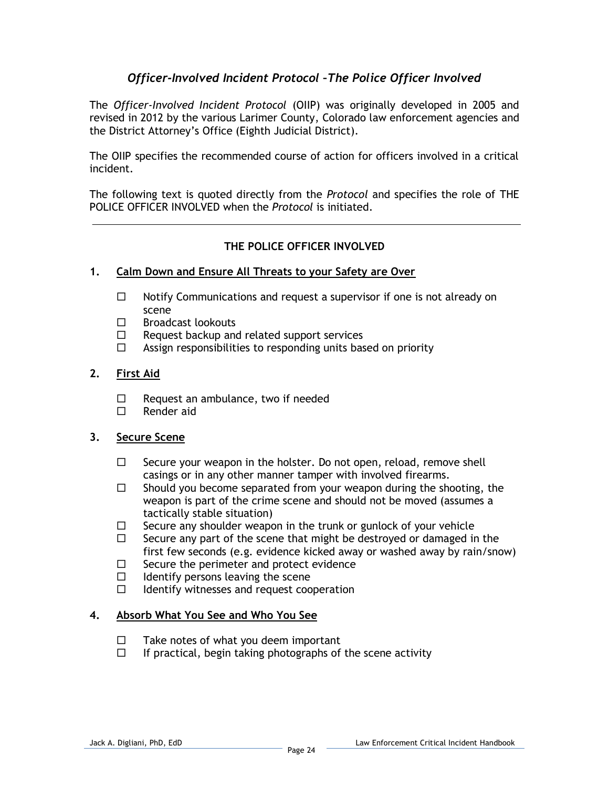## *Officer-Involved Incident Protocol –The Police Officer Involved*

The *Officer-Involved Incident Protocol* (OIIP) was originally developed in 2005 and revised in 2012 by the various Larimer County, Colorado law enforcement agencies and the District Attorney's Office (Eighth Judicial District).

The OIIP specifies the recommended course of action for officers involved in a critical incident.

The following text is quoted directly from the *Protocol* and specifies the role of THE POLICE OFFICER INVOLVED when the *Protocol* is initiated.

## **THE POLICE OFFICER INVOLVED**

#### **1. Calm Down and Ensure All Threats to your Safety are Over**

- $\Box$  Notify Communications and request a supervisor if one is not already on scene
- $\Box$  Broadcast lookouts
- $\Box$  Request backup and related support services
- $\Box$  Assign responsibilities to responding units based on priority

#### **2. First Aid**

- $\Box$  Request an ambulance, two if needed
- □ Render aid

## **3. Secure Scene**

- $\Box$  Secure your weapon in the holster. Do not open, reload, remove shell casings or in any other manner tamper with involved firearms.
- $\Box$  Should you become separated from your weapon during the shooting, the weapon is part of the crime scene and should not be moved (assumes a tactically stable situation)
- $\Box$  Secure any shoulder weapon in the trunk or gunlock of your vehicle
- $\Box$  Secure any part of the scene that might be destroyed or damaged in the first few seconds (e.g. evidence kicked away or washed away by rain/snow)
- $\Box$  Secure the perimeter and protect evidence
- $\Box$  Identify persons leaving the scene
- $\Box$  Identify witnesses and request cooperation

## **4. Absorb What You See and Who You See**

- $\Box$  Take notes of what you deem important
- $\Box$  If practical, begin taking photographs of the scene activity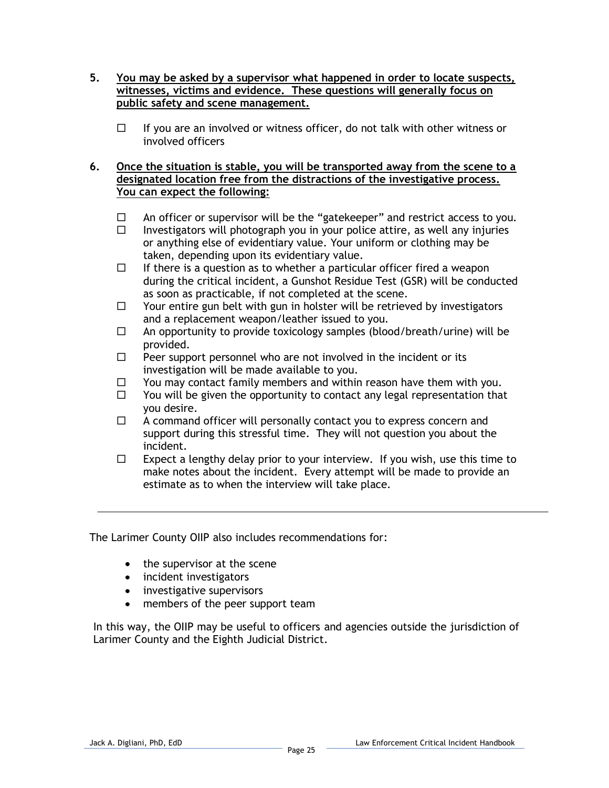- **5. You may be asked by a supervisor what happened in order to locate suspects, witnesses, victims and evidence. These questions will generally focus on public safety and scene management.**
	- $\Box$  If you are an involved or witness officer, do not talk with other witness or involved officers

#### **6. Once the situation is stable, you will be transported away from the scene to a designated location free from the distractions of the investigative process. You can expect the following:**

- $\Box$  An officer or supervisor will be the "gatekeeper" and restrict access to you.
- $\Box$  Investigators will photograph you in your police attire, as well any injuries or anything else of evidentiary value. Your uniform or clothing may be taken, depending upon its evidentiary value.
- $\Box$  If there is a question as to whether a particular officer fired a weapon during the critical incident, a Gunshot Residue Test (GSR) will be conducted as soon as practicable, if not completed at the scene.
- $\Box$  Your entire gun belt with gun in holster will be retrieved by investigators and a replacement weapon/leather issued to you.
- $\Box$  An opportunity to provide toxicology samples (blood/breath/urine) will be provided.
- $\Box$  Peer support personnel who are not involved in the incident or its investigation will be made available to you.
- $\Box$  You may contact family members and within reason have them with you.
- $\Box$  You will be given the opportunity to contact any legal representation that you desire.
- $\Box$  A command officer will personally contact you to express concern and support during this stressful time. They will not question you about the incident.
- $\Box$  Expect a lengthy delay prior to your interview. If you wish, use this time to make notes about the incident. Every attempt will be made to provide an estimate as to when the interview will take place.

The Larimer County OIIP also includes recommendations for:

- the supervisor at the scene
- incident investigators
- investigative supervisors
- members of the peer support team

In this way, the OIIP may be useful to officers and agencies outside the jurisdiction of Larimer County and the Eighth Judicial District.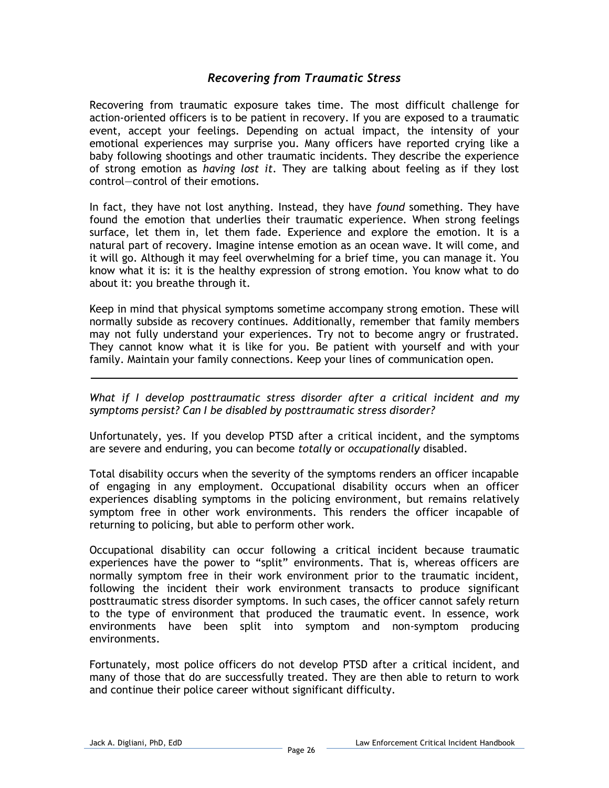## *Recovering from Traumatic Stress*

Recovering from traumatic exposure takes time. The most difficult challenge for action-oriented officers is to be patient in recovery. If you are exposed to a traumatic event, accept your feelings. Depending on actual impact, the intensity of your emotional experiences may surprise you. Many officers have reported crying like a baby following shootings and other traumatic incidents. They describe the experience of strong emotion as *having lost it*. They are talking about feeling as if they lost control—control of their emotions.

In fact, they have not lost anything. Instead, they have *found* something. They have found the emotion that underlies their traumatic experience. When strong feelings surface, let them in, let them fade. Experience and explore the emotion. It is a natural part of recovery. Imagine intense emotion as an ocean wave. It will come, and it will go. Although it may feel overwhelming for a brief time, you can manage it. You know what it is: it is the healthy expression of strong emotion. You know what to do about it: you breathe through it.

Keep in mind that physical symptoms sometime accompany strong emotion. These will normally subside as recovery continues. Additionally, remember that family members may not fully understand your experiences. Try not to become angry or frustrated. They cannot know what it is like for you. Be patient with yourself and with your family. Maintain your family connections. Keep your lines of communication open.

*What if I develop posttraumatic stress disorder after a critical incident and my symptoms persist? Can I be disabled by posttraumatic stress disorder?*

Unfortunately, yes. If you develop PTSD after a critical incident, and the symptoms are severe and enduring, you can become *totally* or *occupationally* disabled.

Total disability occurs when the severity of the symptoms renders an officer incapable of engaging in any employment. Occupational disability occurs when an officer experiences disabling symptoms in the policing environment, but remains relatively symptom free in other work environments. This renders the officer incapable of returning to policing, but able to perform other work.

Occupational disability can occur following a critical incident because traumatic experiences have the power to "split" environments. That is, whereas officers are normally symptom free in their work environment prior to the traumatic incident, following the incident their work environment transacts to produce significant posttraumatic stress disorder symptoms. In such cases, the officer cannot safely return to the type of environment that produced the traumatic event. In essence, work environments have been split into symptom and non-symptom producing environments.

Fortunately, most police officers do not develop PTSD after a critical incident, and many of those that do are successfully treated. They are then able to return to work and continue their police career without significant difficulty.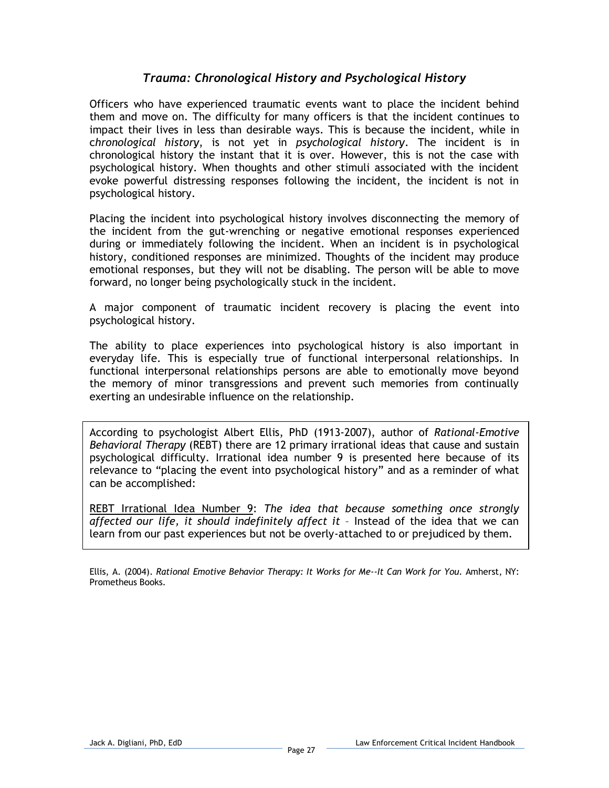## *Trauma: Chronological History and Psychological History*

Officers who have experienced traumatic events want to place the incident behind them and move on. The difficulty for many officers is that the incident continues to impact their lives in less than desirable ways. This is because the incident, while in c*hronological history*, is not yet in *psychological history*. The incident is in chronological history the instant that it is over. However, this is not the case with psychological history. When thoughts and other stimuli associated with the incident evoke powerful distressing responses following the incident, the incident is not in psychological history.

Placing the incident into psychological history involves disconnecting the memory of the incident from the gut-wrenching or negative emotional responses experienced during or immediately following the incident. When an incident is in psychological history, conditioned responses are minimized. Thoughts of the incident may produce emotional responses, but they will not be disabling. The person will be able to move forward, no longer being psychologically stuck in the incident.

A major component of traumatic incident recovery is placing the event into psychological history.

The ability to place experiences into psychological history is also important in everyday life. This is especially true of functional interpersonal relationships. In functional interpersonal relationships persons are able to emotionally move beyond the memory of minor transgressions and prevent such memories from continually exerting an undesirable influence on the relationship.

According to psychologist Albert Ellis, PhD (1913-2007), author of *Rational-Emotive Behavioral Therapy* (REBT) there are 12 primary irrational ideas that cause and sustain psychological difficulty. Irrational idea number 9 is presented here because of its relevance to "placing the event into psychological history" and as a reminder of what can be accomplished:

REBT Irrational Idea Number 9: *The idea that because something once strongly affected our life, it should indefinitely affect it* – Instead of the idea that we can learn from our past experiences but not be overly-attached to or prejudiced by them.

Ellis, A. (2004). *Rational Emotive Behavior Therapy: It Works for Me--It Can Work for You*. Amherst, NY: Prometheus Books.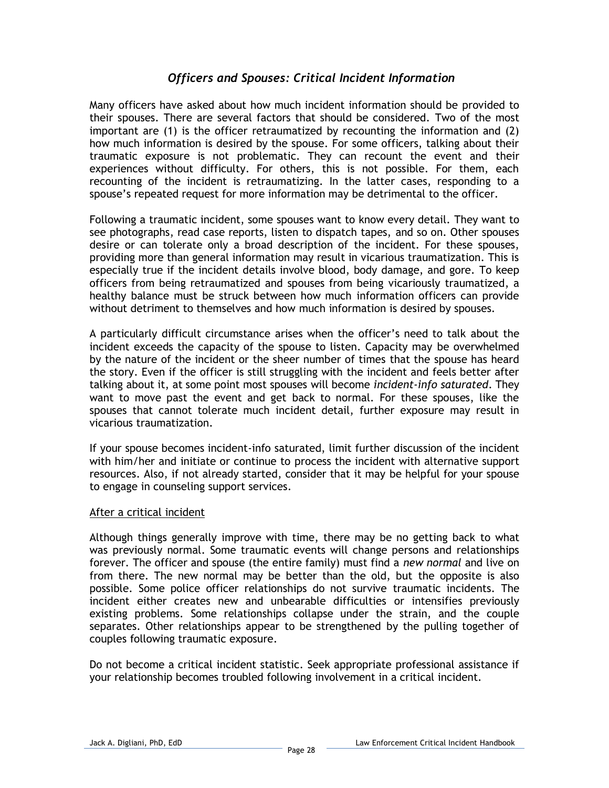## *Officers and Spouses: Critical Incident Information*

Many officers have asked about how much incident information should be provided to their spouses. There are several factors that should be considered. Two of the most important are (1) is the officer retraumatized by recounting the information and (2) how much information is desired by the spouse. For some officers, talking about their traumatic exposure is not problematic. They can recount the event and their experiences without difficulty. For others, this is not possible. For them, each recounting of the incident is retraumatizing. In the latter cases, responding to a spouse's repeated request for more information may be detrimental to the officer.

Following a traumatic incident, some spouses want to know every detail. They want to see photographs, read case reports, listen to dispatch tapes, and so on. Other spouses desire or can tolerate only a broad description of the incident. For these spouses, providing more than general information may result in vicarious traumatization. This is especially true if the incident details involve blood, body damage, and gore. To keep officers from being retraumatized and spouses from being vicariously traumatized, a healthy balance must be struck between how much information officers can provide without detriment to themselves and how much information is desired by spouses.

A particularly difficult circumstance arises when the officer's need to talk about the incident exceeds the capacity of the spouse to listen. Capacity may be overwhelmed by the nature of the incident or the sheer number of times that the spouse has heard the story. Even if the officer is still struggling with the incident and feels better after talking about it, at some point most spouses will become *incident-info saturated*. They want to move past the event and get back to normal. For these spouses, like the spouses that cannot tolerate much incident detail, further exposure may result in vicarious traumatization.

If your spouse becomes incident-info saturated, limit further discussion of the incident with him/her and initiate or continue to process the incident with alternative support resources. Also, if not already started, consider that it may be helpful for your spouse to engage in counseling support services.

#### After a critical incident

Although things generally improve with time, there may be no getting back to what was previously normal. Some traumatic events will change persons and relationships forever. The officer and spouse (the entire family) must find a *new normal* and live on from there. The new normal may be better than the old, but the opposite is also possible. Some police officer relationships do not survive traumatic incidents. The incident either creates new and unbearable difficulties or intensifies previously existing problems. Some relationships collapse under the strain, and the couple separates. Other relationships appear to be strengthened by the pulling together of couples following traumatic exposure.

Do not become a critical incident statistic. Seek appropriate professional assistance if your relationship becomes troubled following involvement in a critical incident.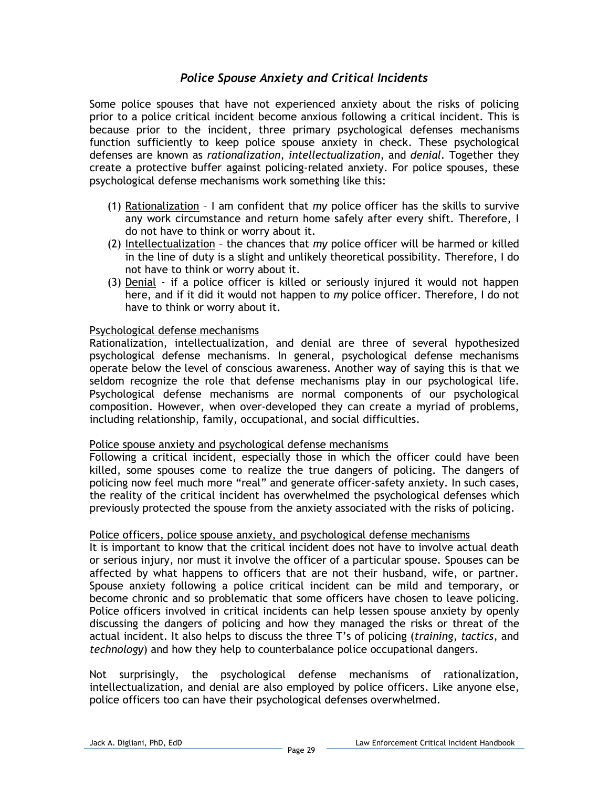## *Police Spouse Anxiety and Critical Incidents*

Some police spouses that have not experienced anxiety about the risks of policing prior to a police critical incident become anxious following a critical incident. This is because prior to the incident, three primary psychological defenses mechanisms function sufficiently to keep police spouse anxiety in check. These psychological defenses are known as *rationalization*, *intellectualization*, and *denial*. Together they create a protective buffer against policing-related anxiety. For police spouses, these psychological defense mechanisms work something like this:

- (1) Rationalization I am confident that *my* police officer has the skills to survive any work circumstance and return home safely after every shift. Therefore, I do not have to think or worry about it.
- (2) Intellectualization the chances that *my* police officer will be harmed or killed in the line of duty is a slight and unlikely theoretical possibility. Therefore, I do not have to think or worry about it.
- (3) Denial if a police officer is killed or seriously injured it would not happen here, and if it did it would not happen to *my* police officer. Therefore, I do not have to think or worry about it.

#### Psychological defense mechanisms

Rationalization, intellectualization, and denial are three of several hypothesized psychological defense mechanisms. In general, psychological defense mechanisms operate below the level of conscious awareness. Another way of saying this is that we seldom recognize the role that defense mechanisms play in our psychological life. Psychological defense mechanisms are normal components of our psychological composition. However, when over-developed they can create a myriad of problems, including relationship, family, occupational, and social difficulties.

#### Police spouse anxiety and psychological defense mechanisms

Following a critical incident, especially those in which the officer could have been killed, some spouses come to realize the true dangers of policing. The dangers of policing now feel much more "real" and generate officer-safety anxiety. In such cases, the reality of the critical incident has overwhelmed the psychological defenses which previously protected the spouse from the anxiety associated with the risks of policing.

#### Police officers, police spouse anxiety, and psychological defense mechanisms

It is important to know that the critical incident does not have to involve actual death or serious injury, nor must it involve the officer of a particular spouse. Spouses can be affected by what happens to officers that are not their husband, wife, or partner. Spouse anxiety following a police critical incident can be mild and temporary, or become chronic and so problematic that some officers have chosen to leave policing. Police officers involved in critical incidents can help lessen spouse anxiety by openly discussing the dangers of policing and how they managed the risks or threat of the actual incident. It also helps to discuss the three T's of policing (*training*, *tactics*, and *technology*) and how they help to counterbalance police occupational dangers.

Not surprisingly, the psychological defense mechanisms of rationalization, intellectualization, and denial are also employed by police officers. Like anyone else, police officers too can have their psychological defenses overwhelmed.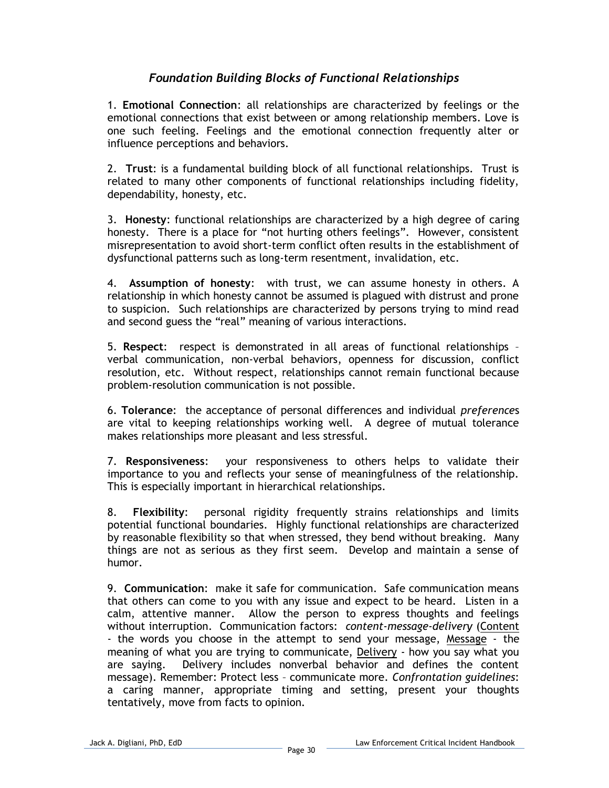## *Foundation Building Blocks of Functional Relationships*

1. **Emotional Connection**: all relationships are characterized by feelings or the emotional connections that exist between or among relationship members. Love is one such feeling. Feelings and the emotional connection frequently alter or influence perceptions and behaviors.

2. **Trust**: is a fundamental building block of all functional relationships. Trust is related to many other components of functional relationships including fidelity, dependability, honesty, etc.

3. **Honesty**: functional relationships are characterized by a high degree of caring honesty. There is a place for "not hurting others feelings". However, consistent misrepresentation to avoid short-term conflict often results in the establishment of dysfunctional patterns such as long-term resentment, invalidation, etc.

4. **Assumption of honesty**: with trust, we can assume honesty in others. A relationship in which honesty cannot be assumed is plagued with distrust and prone to suspicion. Such relationships are characterized by persons trying to mind read and second guess the "real" meaning of various interactions.

5. **Respect**: respect is demonstrated in all areas of functional relationships – verbal communication, non-verbal behaviors, openness for discussion, conflict resolution, etc. Without respect, relationships cannot remain functional because problem-resolution communication is not possible.

6. **Tolerance**: the acceptance of personal differences and individual *preference*s are vital to keeping relationships working well. A degree of mutual tolerance makes relationships more pleasant and less stressful.

7. **Responsiveness**: your responsiveness to others helps to validate their importance to you and reflects your sense of meaningfulness of the relationship. This is especially important in hierarchical relationships.

8. **Flexibility**: personal rigidity frequently strains relationships and limits potential functional boundaries. Highly functional relationships are characterized by reasonable flexibility so that when stressed, they bend without breaking. Many things are not as serious as they first seem. Develop and maintain a sense of humor.

9. **Communication**: make it safe for communication. Safe communication means that others can come to you with any issue and expect to be heard. Listen in a calm, attentive manner. Allow the person to express thoughts and feelings without interruption. Communication factors: *content-message-delivery* (Content - the words you choose in the attempt to send your message, Message - the meaning of what you are trying to communicate, Delivery - how you say what you are saying. Delivery includes nonverbal behavior and defines the content message). Remember: Protect less – communicate more. *Confrontation guidelines*: a caring manner, appropriate timing and setting, present your thoughts tentatively, move from facts to opinion.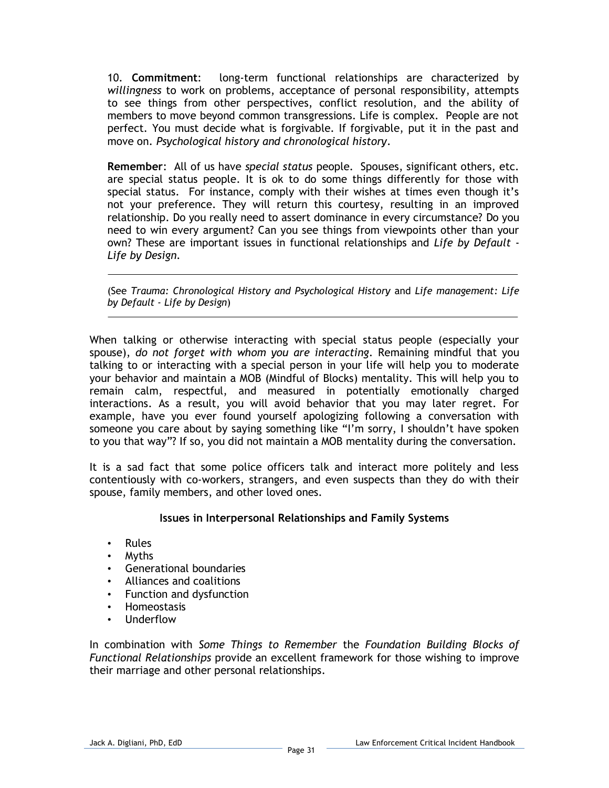10. **Commitment**: long-term functional relationships are characterized by *willingness* to work on problems, acceptance of personal responsibility, attempts to see things from other perspectives, conflict resolution, and the ability of members to move beyond common transgressions. Life is complex. People are not perfect. You must decide what is forgivable. If forgivable, put it in the past and move on. *Psychological history and chronological history*.

**Remember**: All of us have *special status* people. Spouses, significant others, etc. are special status people. It is ok to do some things differently for those with special status. For instance, comply with their wishes at times even though it's not your preference. They will return this courtesy, resulting in an improved relationship. Do you really need to assert dominance in every circumstance? Do you need to win every argument? Can you see things from viewpoints other than your own? These are important issues in functional relationships and *Life by Default* - *Life by Design.*

(See *Trauma: Chronological History and Psychological History* and *Life management: Life by Default - Life by Design*)

When talking or otherwise interacting with special status people (especially your spouse), *do not forget with whom you are interacting*. Remaining mindful that you talking to or interacting with a special person in your life will help you to moderate your behavior and maintain a MOB (Mindful of Blocks) mentality. This will help you to remain calm, respectful, and measured in potentially emotionally charged interactions. As a result, you will avoid behavior that you may later regret. For example, have you ever found yourself apologizing following a conversation with someone you care about by saying something like "I'm sorry, I shouldn't have spoken to you that way"? If so, you did not maintain a MOB mentality during the conversation.

It is a sad fact that some police officers talk and interact more politely and less contentiously with co-workers, strangers, and even suspects than they do with their spouse, family members, and other loved ones.

## **Issues in Interpersonal Relationships and Family Systems**

- Rules
- Myths
- Generational boundaries
- Alliances and coalitions
- Function and dysfunction
- Homeostasis
- Underflow

In combination with *Some Things to Remember* the *Foundation Building Blocks of Functional Relationships* provide an excellent framework for those wishing to improve their marriage and other personal relationships.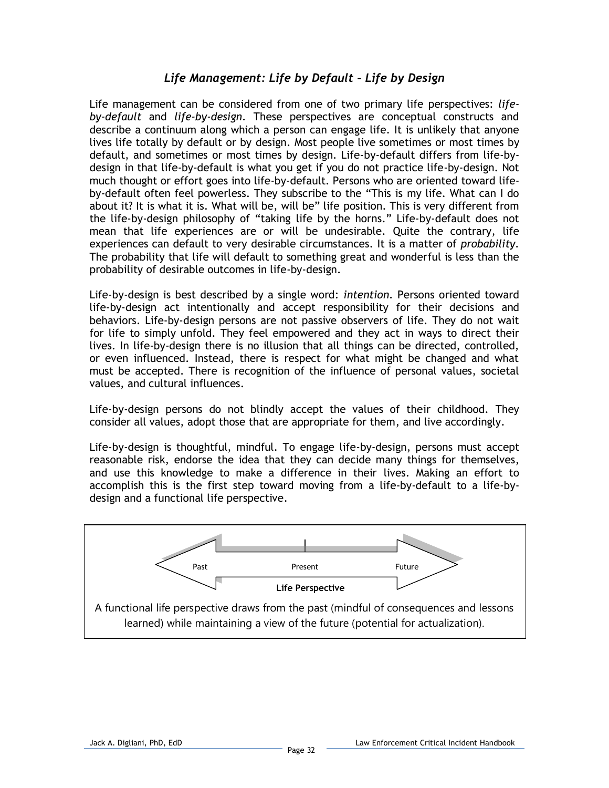## *Life Management: Life by Default – Life by Design*

Life management can be considered from one of two primary life perspectives: *lifeby-default* and *life-by-design*. These perspectives are conceptual constructs and describe a continuum along which a person can engage life. It is unlikely that anyone lives life totally by default or by design. Most people live sometimes or most times by default, and sometimes or most times by design. Life-by-default differs from life-bydesign in that life-by-default is what you get if you do not practice life-by-design. Not much thought or effort goes into life-by-default. Persons who are oriented toward lifeby-default often feel powerless. They subscribe to the "This is my life. What can I do about it? It is what it is. What will be, will be" life position. This is very different from the life-by-design philosophy of "taking life by the horns." Life-by-default does not mean that life experiences are or will be undesirable. Quite the contrary, life experiences can default to very desirable circumstances. It is a matter of *probability.*  The probability that life will default to something great and wonderful is less than the probability of desirable outcomes in life-by-design.

Life-by-design is best described by a single word: *intention*. Persons oriented toward life-by-design act intentionally and accept responsibility for their decisions and behaviors. Life-by-design persons are not passive observers of life. They do not wait for life to simply unfold. They feel empowered and they act in ways to direct their lives. In life-by-design there is no illusion that all things can be directed, controlled, or even influenced. Instead, there is respect for what might be changed and what must be accepted. There is recognition of the influence of personal values, societal values, and cultural influences.

Life-by-design persons do not blindly accept the values of their childhood. They consider all values, adopt those that are appropriate for them, and live accordingly.

Life-by-design is thoughtful, mindful. To engage life-by-design, persons must accept reasonable risk, endorse the idea that they can decide many things for themselves, and use this knowledge to make a difference in their lives. Making an effort to accomplish this is the first step toward moving from a life-by-default to a life-bydesign and a functional life perspective.

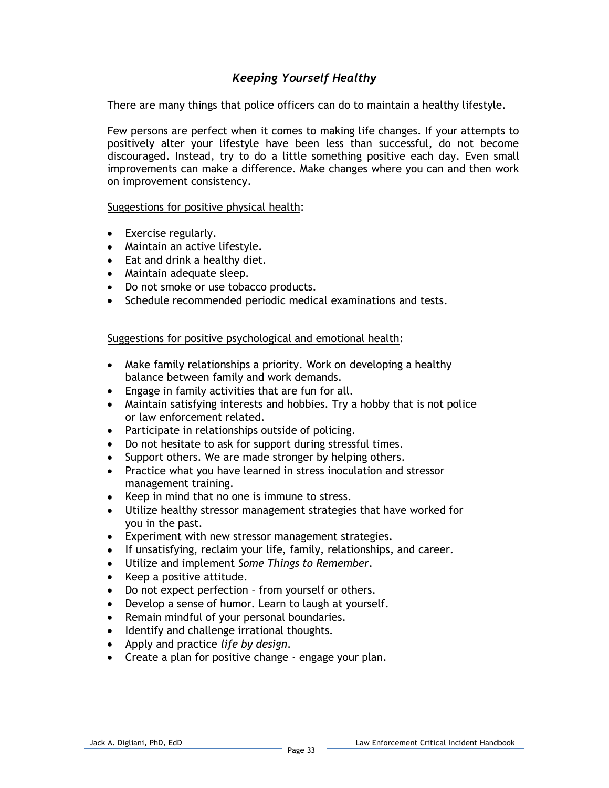## *Keeping Yourself Healthy*

There are many things that police officers can do to maintain a healthy lifestyle.

Few persons are perfect when it comes to making life changes. If your attempts to positively alter your lifestyle have been less than successful, do not become discouraged. Instead, try to do a little something positive each day. Even small improvements can make a difference. Make changes where you can and then work on improvement consistency.

#### Suggestions for positive physical health:

- Exercise regularly.
- Maintain an active lifestyle.
- Eat and drink a healthy diet.
- Maintain adequate sleep.
- Do not smoke or use tobacco products.
- Schedule recommended periodic medical examinations and tests.

#### Suggestions for positive psychological and emotional health:

- Make family relationships a priority. Work on developing a healthy balance between family and work demands.
- Engage in family activities that are fun for all.
- Maintain satisfying interests and hobbies. Try a hobby that is not police or law enforcement related.
- Participate in relationships outside of policing.
- Do not hesitate to ask for support during stressful times.
- Support others. We are made stronger by helping others.
- Practice what you have learned in stress inoculation and stressor management training.
- Keep in mind that no one is immune to stress.
- Utilize healthy stressor management strategies that have worked for  $\bullet$ you in the past.
- Experiment with new stressor management strategies.
- If unsatisfying, reclaim your life, family, relationships, and career.
- Utilize and implement *Some Things to Remember*.
- Keep a positive attitude.
- Do not expect perfection from yourself or others.
- Develop a sense of humor. Learn to laugh at yourself.
- Remain mindful of your personal boundaries.
- Identify and challenge irrational thoughts.
- Apply and practice *life by design*.
- Create a plan for positive change engage your plan.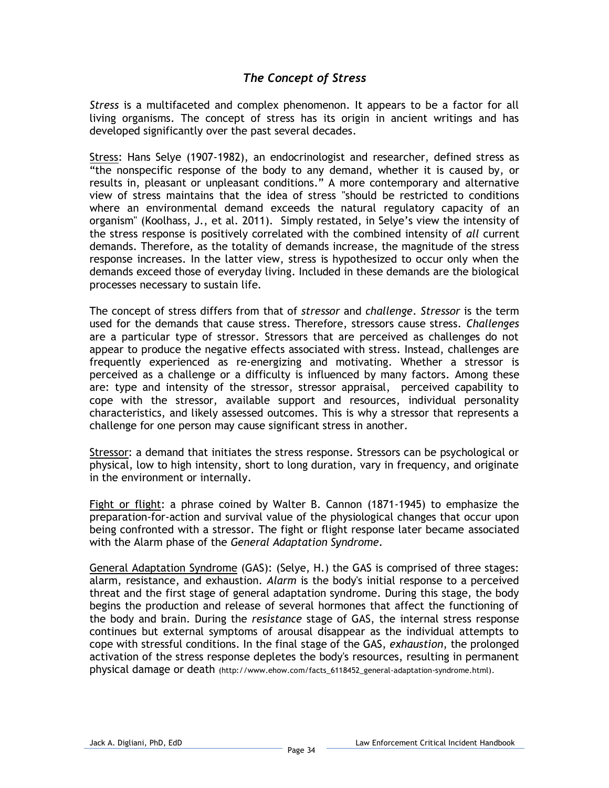## *The Concept of Stress*

*Stress* is a multifaceted and complex phenomenon. It appears to be a factor for all living organisms. The concept of stress has its origin in ancient writings and has developed significantly over the past several decades.

Stress: Hans Selye (1907-1982), an endocrinologist and researcher, defined stress as "the nonspecific response of the body to any demand, whether it is caused by, or results in, pleasant or unpleasant conditions." A more contemporary and alternative view of stress maintains that the idea of stress "should be restricted to conditions where an environmental demand exceeds the natural regulatory capacity of an organism" (Koolhass, J., et al. 2011). Simply restated, in Selye's view the intensity of the stress response is positively correlated with the combined intensity of *all* current demands. Therefore, as the totality of demands increase, the magnitude of the stress response increases. In the latter view, stress is hypothesized to occur only when the demands exceed those of everyday living. Included in these demands are the biological processes necessary to sustain life.

The concept of stress differs from that of *stressor* and *challenge*. *Stressor* is the term used for the demands that cause stress. Therefore, stressors cause stress. *Challenges* are a particular type of stressor. Stressors that are perceived as challenges do not appear to produce the negative effects associated with stress. Instead, challenges are frequently experienced as re-energizing and motivating. Whether a stressor is perceived as a challenge or a difficulty is influenced by many factors. Among these are: type and intensity of the stressor, stressor appraisal, perceived capability to cope with the stressor, available support and resources, individual personality characteristics, and likely assessed outcomes. This is why a stressor that represents a challenge for one person may cause significant stress in another.

Stressor: a demand that initiates the stress response. Stressors can be psychological or physical, low to high intensity, short to long duration, vary in frequency, and originate in the environment or internally.

Fight or flight: a phrase coined by Walter B. Cannon (1871-1945) to emphasize the preparation-for-action and survival value of the physiological changes that occur upon being confronted with a stressor. The fight or flight response later became associated with the Alarm phase of the *General Adaptation Syndrome*.

General Adaptation Syndrome (GAS): (Selye, H.) the GAS is comprised of three stages: alarm, resistance, and exhaustion. *Alarm* is the body's initial response to a perceived threat and the first stage of general adaptation syndrome. During this stage, the body begins the production and release of several hormones that affect the functioning of the body and brain. During the *resistance* stage of GAS, the internal stress response continues but external symptoms of arousal disappear as the individual attempts to cope with stressful conditions. In the final stage of the GAS, *exhaustion*, the prolonged activation of the stress response depletes the body's resources, resulting in permanent physical damage or death (http://www.ehow.com/facts\_6118452\_general-adaptation-syndrome.html).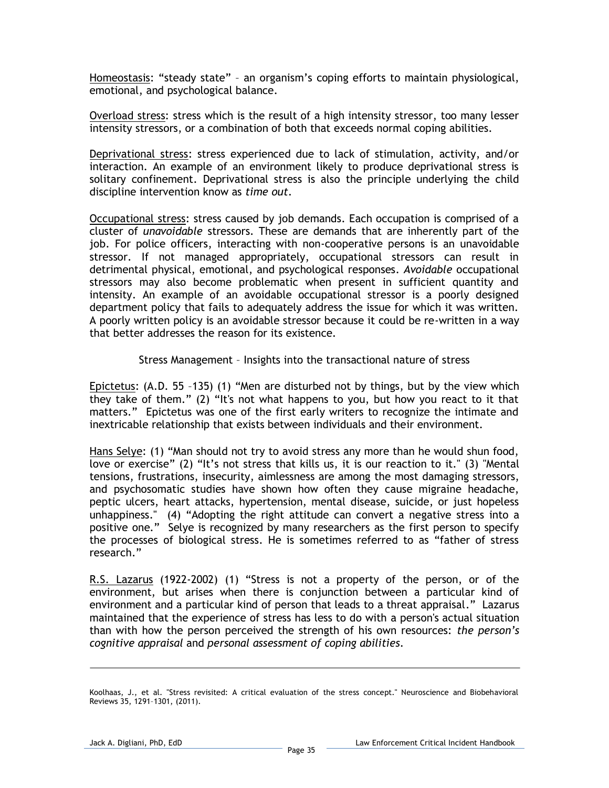Homeostasis: "steady state" - an organism's coping efforts to maintain physiological, emotional, and psychological balance.

Overload stress: stress which is the result of a high intensity stressor, too many lesser intensity stressors, or a combination of both that exceeds normal coping abilities.

Deprivational stress: stress experienced due to lack of stimulation, activity, and/or interaction. An example of an environment likely to produce deprivational stress is solitary confinement. Deprivational stress is also the principle underlying the child discipline intervention know as *time out*.

Occupational stress: stress caused by job demands. Each occupation is comprised of a cluster of *unavoidable* stressors. These are demands that are inherently part of the job. For police officers, interacting with non-cooperative persons is an unavoidable stressor. If not managed appropriately, occupational stressors can result in detrimental physical, emotional, and psychological responses. *Avoidable* occupational stressors may also become problematic when present in sufficient quantity and intensity. An example of an avoidable occupational stressor is a poorly designed department policy that fails to adequately address the issue for which it was written. A poorly written policy is an avoidable stressor because it could be re-written in a way that better addresses the reason for its existence.

Stress Management – Insights into the transactional nature of stress

Epictetus:  $(A.D. 55 - 135)$  (1) "Men are disturbed not by things, but by the view which they take of them." (2) "It's not what happens to you, but how you react to it that matters.‖ Epictetus was one of the first early writers to recognize the intimate and inextricable relationship that exists between individuals and their environment.

Hans Selye: (1) "Man should not try to avoid stress any more than he would shun food, love or exercise" (2) "It's not stress that kills us, it is our reaction to it." (3) "Mental tensions, frustrations, insecurity, aimlessness are among the most damaging stressors, and psychosomatic studies have shown how often they cause migraine headache, peptic ulcers, heart attacks, hypertension, mental disease, suicide, or just hopeless unhappiness."  $(4)$  "Adopting the right attitude can convert a negative stress into a positive one.‖ Selye is recognized by many researchers as the first person to specify the processes of biological stress. He is sometimes referred to as "father of stress research."

R.S. Lazarus (1922-2002) (1) "Stress is not a property of the person, or of the environment, but arises when there is conjunction between a particular kind of environment and a particular kind of person that leads to a threat appraisal." Lazarus maintained that the experience of stress has less to do with a person's actual situation than with how the person perceived the strength of his own resources: *the person's cognitive appraisal* and *personal assessment of coping abilities.*

Koolhaas, J., et al. "Stress revisited: A critical evaluation of the stress concept." Neuroscience and Biobehavioral Reviews 35, 1291–1301, (2011).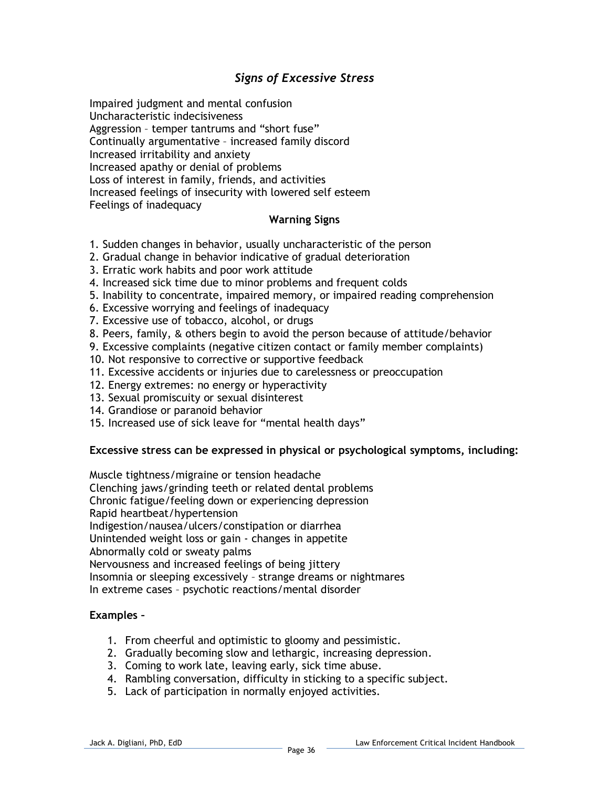## *Signs of Excessive Stress*

Impaired judgment and mental confusion Uncharacteristic indecisiveness Aggression - temper tantrums and "short fuse" Continually argumentative – increased family discord Increased irritability and anxiety Increased apathy or denial of problems Loss of interest in family, friends, and activities Increased feelings of insecurity with lowered self esteem Feelings of inadequacy

#### **Warning Signs**

- 1. Sudden changes in behavior, usually uncharacteristic of the person
- 2. Gradual change in behavior indicative of gradual deterioration
- 3. Erratic work habits and poor work attitude
- 4. Increased sick time due to minor problems and frequent colds
- 5. Inability to concentrate, impaired memory, or impaired reading comprehension
- 6. Excessive worrying and feelings of inadequacy
- 7. Excessive use of tobacco, alcohol, or drugs
- 8. Peers, family, & others begin to avoid the person because of attitude/behavior
- 9. Excessive complaints (negative citizen contact or family member complaints)
- 10. Not responsive to corrective or supportive feedback
- 11. Excessive accidents or injuries due to carelessness or preoccupation
- 12. Energy extremes: no energy or hyperactivity
- 13. Sexual promiscuity or sexual disinterest
- 14. Grandiose or paranoid behavior
- 15. Increased use of sick leave for "mental health days"

#### **Excessive stress can be expressed in physical or psychological symptoms, including:**

Muscle tightness/migraine or tension headache

Clenching jaws/grinding teeth or related dental problems

Chronic fatigue/feeling down or experiencing depression

Rapid heartbeat/hypertension

Indigestion/nausea/ulcers/constipation or diarrhea

Unintended weight loss or gain - changes in appetite

Abnormally cold or sweaty palms

Nervousness and increased feelings of being jittery

Insomnia or sleeping excessively – strange dreams or nightmares

In extreme cases – psychotic reactions/mental disorder

#### **Examples –**

- 1. From cheerful and optimistic to gloomy and pessimistic.
- 2. Gradually becoming slow and lethargic, increasing depression.
- 3. Coming to work late, leaving early, sick time abuse.
- 4. Rambling conversation, difficulty in sticking to a specific subject.
- 5. Lack of participation in normally enjoyed activities.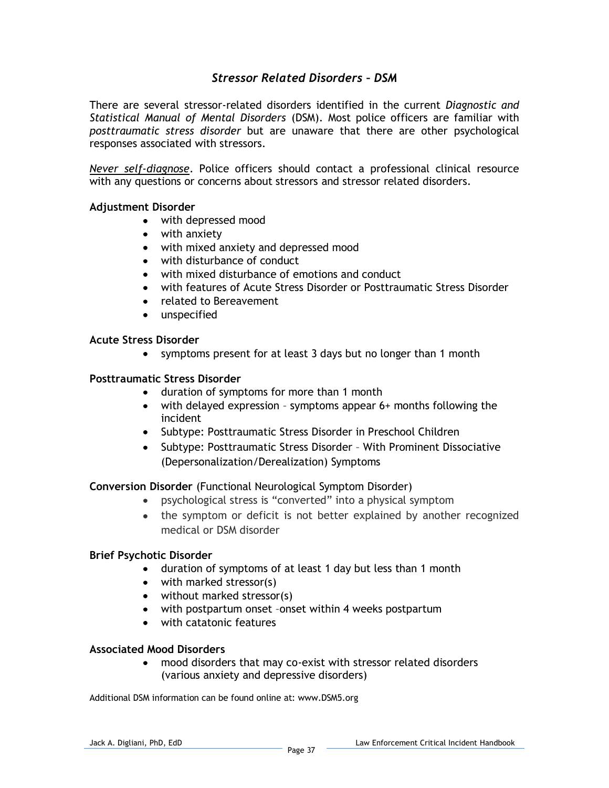## *Stressor Related Disorders – DSM*

There are several stressor-related disorders identified in the current *Diagnostic and Statistical Manual of Mental Disorders* (DSM). Most police officers are familiar with *posttraumatic stress disorder* but are unaware that there are other psychological responses associated with stressors.

*Never self-diagnose*. Police officers should contact a professional clinical resource with any questions or concerns about stressors and stressor related disorders.

#### **Adjustment Disorder**

- with depressed mood
- with anxiety
- with mixed anxiety and depressed mood
- with disturbance of conduct
- with mixed disturbance of emotions and conduct
- with features of Acute Stress Disorder or Posttraumatic Stress Disorder
- related to Bereavement
- unspecified

#### **Acute Stress Disorder**

symptoms present for at least 3 days but no longer than 1 month

#### **Posttraumatic Stress Disorder**

- duration of symptoms for more than 1 month
- with delayed expression symptoms appear 6+ months following the incident
- Subtype: Posttraumatic Stress Disorder in Preschool Children
- Subtype: Posttraumatic Stress Disorder With Prominent Dissociative  $\bullet$ (Depersonalization/Derealization) Symptoms

#### **Conversion Disorder** (Functional Neurological Symptom Disorder)

- $\bullet$ psychological stress is "converted" into a physical symptom
- the symptom or deficit is not better explained by another recognized medical or DSM disorder

#### **Brief Psychotic Disorder**

- duration of symptoms of at least 1 day but less than 1 month
- with marked stressor(s)
- without marked stressor(s)
- with postpartum onset -onset within 4 weeks postpartum
- with catatonic features

#### **Associated Mood Disorders**

mood disorders that may co-exist with stressor related disorders  $\bullet$ (various anxiety and depressive disorders)

Additional DSM information can be found online at: www.DSM5.org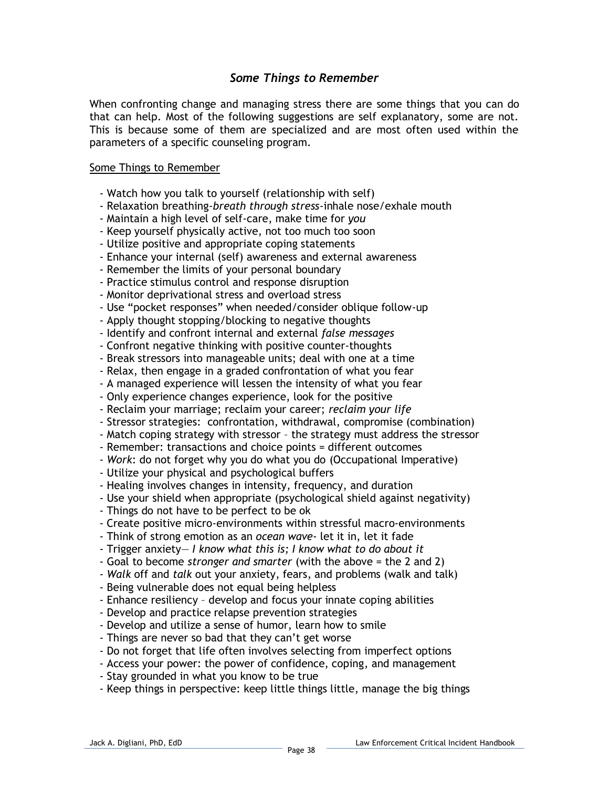## *Some Things to Remember*

When confronting change and managing stress there are some things that you can do that can help. Most of the following suggestions are self explanatory, some are not. This is because some of them are specialized and are most often used within the parameters of a specific counseling program.

#### Some Things to Remember

- Watch how you talk to yourself (relationship with self)
- Relaxation breathing-*breath through stress*-inhale nose/exhale mouth
- Maintain a high level of self-care, make time for *you*
- Keep yourself physically active, not too much too soon
- Utilize positive and appropriate coping statements
- Enhance your internal (self) awareness and external awareness
- Remember the limits of your personal boundary
- Practice stimulus control and response disruption
- Monitor deprivational stress and overload stress
- Use "pocket responses" when needed/consider oblique follow-up
- Apply thought stopping/blocking to negative thoughts
- Identify and confront internal and external *false messages*
- Confront negative thinking with positive counter-thoughts
- Break stressors into manageable units; deal with one at a time
- Relax, then engage in a graded confrontation of what you fear
- A managed experience will lessen the intensity of what you fear
- Only experience changes experience, look for the positive
- Reclaim your marriage; reclaim your career; *reclaim your life*
- Stressor strategies: confrontation, withdrawal, compromise (combination)
- Match coping strategy with stressor the strategy must address the stressor
- Remember: transactions and choice points = different outcomes
- *Work*: do not forget why you do what you do (Occupational Imperative)
- Utilize your physical and psychological buffers
- Healing involves changes in intensity, frequency, and duration
- Use your shield when appropriate (psychological shield against negativity)
- Things do not have to be perfect to be ok
- Create positive micro-environments within stressful macro-environments
- Think of strong emotion as an *ocean wave* let it in, let it fade
- Trigger anxiety— *I know what this is; I know what to do about it*
- Goal to become *stronger and smarter* (with the above = the 2 and 2)
- *Walk* off and *talk* out your anxiety, fears, and problems (walk and talk)
- Being vulnerable does not equal being helpless
- Enhance resiliency develop and focus your innate coping abilities
- Develop and practice relapse prevention strategies
- Develop and utilize a sense of humor, learn how to smile
- Things are never so bad that they can't get worse
- Do not forget that life often involves selecting from imperfect options
- Access your power: the power of confidence, coping, and management
- Stay grounded in what you know to be true
- Keep things in perspective: keep little things little, manage the big things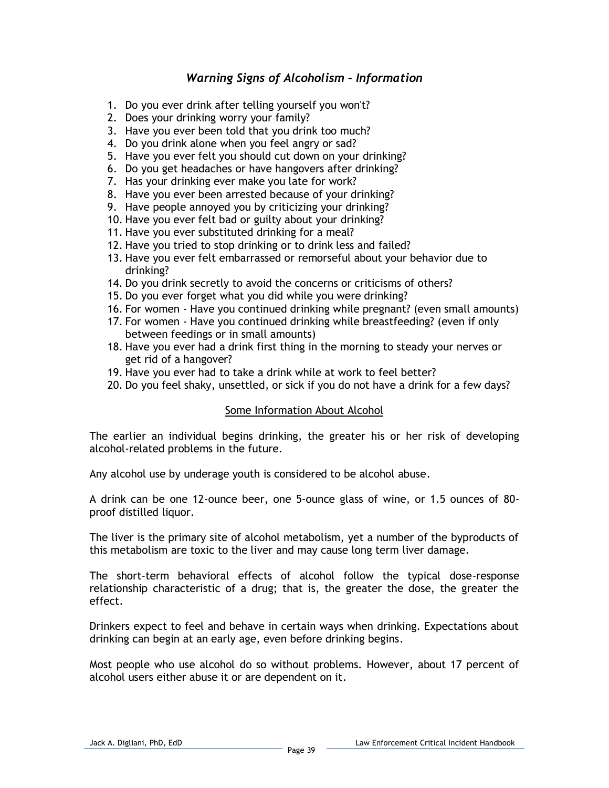## *Warning Signs of Alcoholism – Information*

- 1. Do you ever drink after telling yourself you won't?
- 2. Does your drinking worry your family?
- 3. Have you ever been told that you drink too much?
- 4. Do you drink alone when you feel angry or sad?
- 5. Have you ever felt you should cut down on your drinking?
- 6. Do you get headaches or have hangovers after drinking?
- 7. Has your drinking ever make you late for work?
- 8. Have you ever been arrested because of your drinking?
- 9. Have people annoyed you by criticizing your drinking?
- 10. Have you ever felt bad or guilty about your drinking?
- 11. Have you ever substituted drinking for a meal?
- 12. Have you tried to stop drinking or to drink less and failed?
- 13. Have you ever felt embarrassed or remorseful about your behavior due to drinking?
- 14. Do you drink secretly to avoid the concerns or criticisms of others?
- 15. Do you ever forget what you did while you were drinking?
- 16. For women Have you continued drinking while pregnant? (even small amounts)
- 17. For women Have you continued drinking while breastfeeding? (even if only between feedings or in small amounts)
- 18. Have you ever had a drink first thing in the morning to steady your nerves or get rid of a hangover?
- 19. Have you ever had to take a drink while at work to feel better?
- 20. Do you feel shaky, unsettled, or sick if you do not have a drink for a few days?

## Some Information About Alcohol

The earlier an individual begins drinking, the greater his or her risk of developing alcohol-related problems in the future.

Any alcohol use by underage youth is considered to be alcohol abuse.

A drink can be one 12-ounce beer, one 5-ounce glass of wine, or 1.5 ounces of 80 proof distilled liquor.

The liver is the primary site of alcohol metabolism, yet a number of the byproducts of this metabolism are toxic to the liver and may cause long term liver damage.

The short-term behavioral effects of alcohol follow the typical dose-response relationship characteristic of a drug; that is, the greater the dose, the greater the effect.

Drinkers expect to feel and behave in certain ways when drinking. Expectations about drinking can begin at an early age, even before drinking begins.

Most people who use alcohol do so without problems. However, about 17 percent of alcohol users either abuse it or are dependent on it.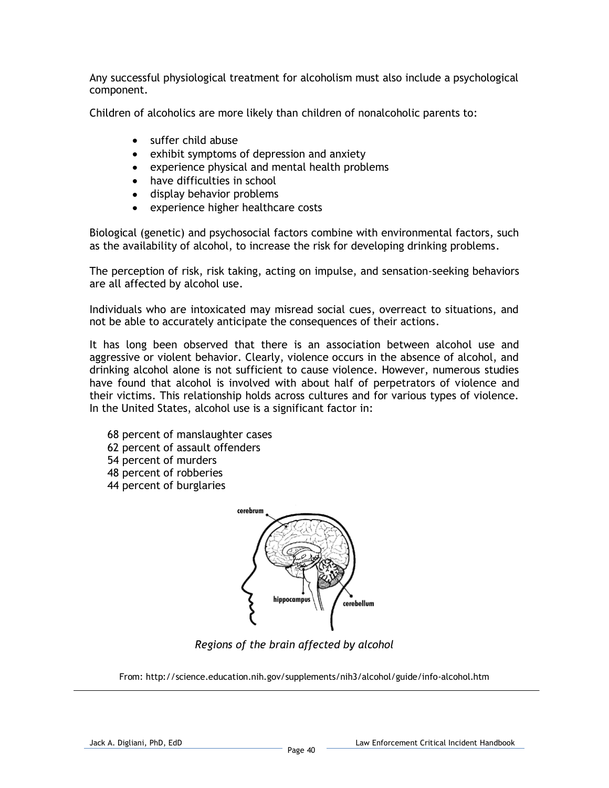Any successful physiological treatment for alcoholism must also include a psychological component.

Children of alcoholics are more likely than children of nonalcoholic parents to:

- suffer child abuse
- exhibit symptoms of depression and anxiety
- experience physical and mental health problems
- have difficulties in school
- display behavior problems
- experience higher healthcare costs

Biological (genetic) and psychosocial factors combine with environmental factors, such as the availability of alcohol, to increase the risk for developing drinking problems.

The perception of risk, risk taking, acting on impulse, and sensation-seeking behaviors are all affected by alcohol use.

Individuals who are intoxicated may misread social cues, overreact to situations, and not be able to accurately anticipate the consequences of their actions.

It has long been observed that there is an association between alcohol use and aggressive or violent behavior. Clearly, violence occurs in the absence of alcohol, and drinking alcohol alone is not sufficient to cause violence. However, numerous studies have found that alcohol is involved with about half of perpetrators of violence and their victims. This relationship holds across cultures and for various types of violence. In the United States, alcohol use is a significant factor in:

- 68 percent of manslaughter cases
- 62 percent of assault offenders
- 54 percent of murders
- 48 percent of robberies
- 44 percent of burglaries



 *Regions of the brain affected by alcohol*

From: http://science.education.nih.gov/supplements/nih3/alcohol/guide/info-alcohol.htm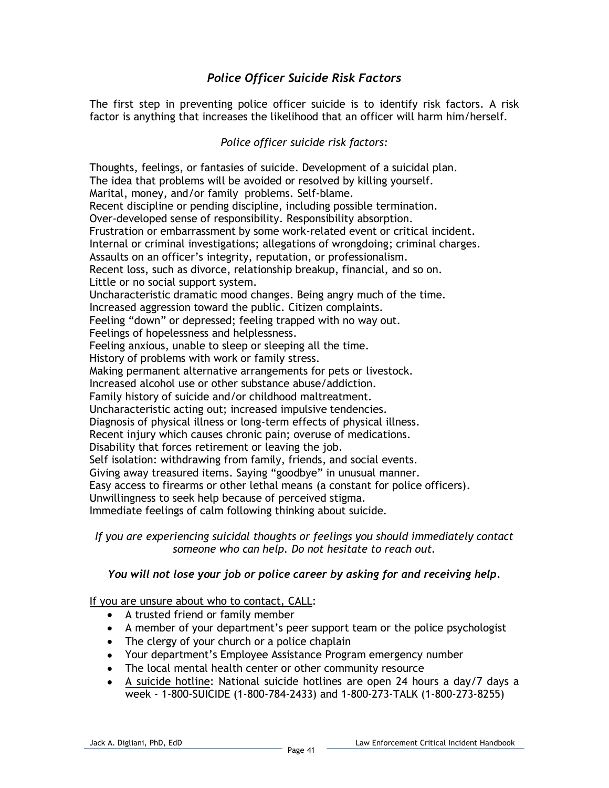## *Police Officer Suicide Risk Factors*

The first step in preventing police officer suicide is to identify risk factors. A risk factor is anything that increases the likelihood that an officer will harm him/herself.

#### *Police officer suicide risk factors:*

Thoughts, feelings, or fantasies of suicide. Development of a suicidal plan. The idea that problems will be avoided or resolved by killing yourself. Marital, money, and/or family problems. Self-blame. Recent discipline or pending discipline, including possible termination. Over-developed sense of responsibility. Responsibility absorption. Frustration or embarrassment by some work-related event or critical incident. Internal or criminal investigations; allegations of wrongdoing; criminal charges. Assaults on an officer's integrity, reputation, or professionalism. Recent loss, such as divorce, relationship breakup, financial, and so on. Little or no social support system. Uncharacteristic dramatic mood changes. Being angry much of the time. Increased aggression toward the public. Citizen complaints. Feeling "down" or depressed; feeling trapped with no way out. Feelings of hopelessness and helplessness. Feeling anxious, unable to sleep or sleeping all the time. History of problems with work or family stress. Making permanent alternative arrangements for pets or livestock. Increased alcohol use or other substance abuse/addiction. Family history of suicide and/or childhood maltreatment. Uncharacteristic acting out; increased impulsive tendencies. Diagnosis of physical illness or long-term effects of physical illness. Recent injury which causes chronic pain; overuse of medications. Disability that forces retirement or leaving the job. Self isolation: withdrawing from family, friends, and social events. Giving away treasured items. Saying "goodbye" in unusual manner. Easy access to firearms or other lethal means (a constant for police officers). Unwillingness to seek help because of perceived stigma. Immediate feelings of calm following thinking about suicide.

*If you are experiencing suicidal thoughts or feelings you should immediately contact someone who can help. Do not hesitate to reach out.*

#### *You will not lose your job or police career by asking for and receiving help.*

If you are unsure about who to contact, CALL:

- A trusted friend or family member
- A member of your department's peer support team or the police psychologist
- The clergy of your church or a police chaplain
- Your department's Employee Assistance Program emergency number
- The local mental health center or other community resource
- A suicide hotline: National suicide hotlines are open 24 hours a day/7 days a week - 1-800-SUICIDE (1-800-784-2433) and 1-800-273-TALK (1-800-273-8255)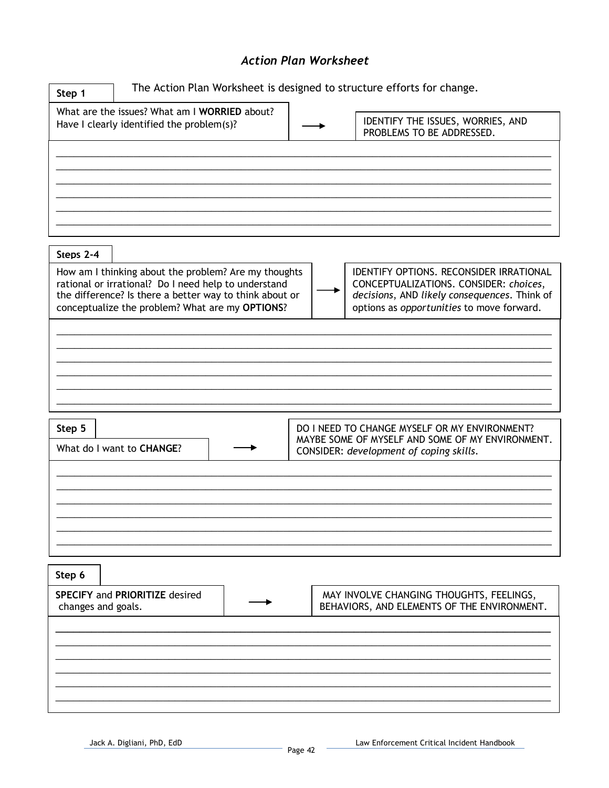## **Action Plan Worksheet**

| Step 1             |                                                                                                                                                                                                                            |  | The Action Plan Worksheet is designed to structure efforts for change.                                                                                                         |
|--------------------|----------------------------------------------------------------------------------------------------------------------------------------------------------------------------------------------------------------------------|--|--------------------------------------------------------------------------------------------------------------------------------------------------------------------------------|
|                    | What are the issues? What am I WORRIED about?<br>Have I clearly identified the problem(s)?                                                                                                                                 |  | IDENTIFY THE ISSUES, WORRIES, AND<br>PROBLEMS TO BE ADDRESSED.                                                                                                                 |
|                    |                                                                                                                                                                                                                            |  |                                                                                                                                                                                |
|                    |                                                                                                                                                                                                                            |  |                                                                                                                                                                                |
| Steps 2-4          |                                                                                                                                                                                                                            |  |                                                                                                                                                                                |
|                    | How am I thinking about the problem? Are my thoughts<br>rational or irrational? Do I need help to understand<br>the difference? Is there a better way to think about or<br>conceptualize the problem? What are my OPTIONS? |  | IDENTIFY OPTIONS. RECONSIDER IRRATIONAL<br>CONCEPTUALIZATIONS. CONSIDER: choices,<br>decisions, AND likely consequences. Think of<br>options as opportunities to move forward. |
|                    |                                                                                                                                                                                                                            |  |                                                                                                                                                                                |
|                    |                                                                                                                                                                                                                            |  |                                                                                                                                                                                |
|                    |                                                                                                                                                                                                                            |  |                                                                                                                                                                                |
| Step 5             | What do I want to CHANGE?                                                                                                                                                                                                  |  | DO I NEED TO CHANGE MYSELF OR MY ENVIRONMENT?<br>MAYBE SOME OF MYSELF AND SOME OF MY ENVIRONMENT.<br>CONSIDER: development of coping skills.                                   |
|                    |                                                                                                                                                                                                                            |  |                                                                                                                                                                                |
|                    |                                                                                                                                                                                                                            |  |                                                                                                                                                                                |
|                    |                                                                                                                                                                                                                            |  |                                                                                                                                                                                |
| Step 6             |                                                                                                                                                                                                                            |  |                                                                                                                                                                                |
| changes and goals. | <b>SPECIFY and PRIORITIZE desired</b>                                                                                                                                                                                      |  | MAY INVOLVE CHANGING THOUGHTS, FEELINGS,<br>BEHAVIORS, AND ELEMENTS OF THE ENVIRONMENT.                                                                                        |
|                    |                                                                                                                                                                                                                            |  |                                                                                                                                                                                |
|                    |                                                                                                                                                                                                                            |  |                                                                                                                                                                                |
|                    |                                                                                                                                                                                                                            |  |                                                                                                                                                                                |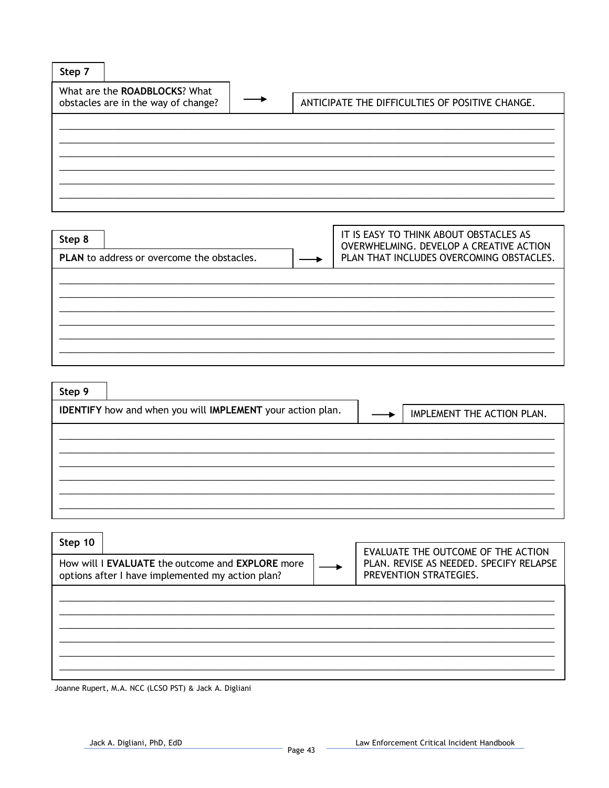| Step 7                                                               |                                                 |
|----------------------------------------------------------------------|-------------------------------------------------|
| What are the ROADBLOCKS? What<br>obstacles are in the way of change? | ANTICIPATE THE DIFFICULTIES OF POSITIVE CHANGE. |
|                                                                      |                                                 |
|                                                                      |                                                 |
|                                                                      |                                                 |
|                                                                      |                                                 |

| Step 8 |                                                   | IT IS EASY TO THINK ABOUT OBSTACLES AS<br>OVERWHELMING. DEVELOP A CREATIVE ACTION |
|--------|---------------------------------------------------|-----------------------------------------------------------------------------------|
|        | <b>PLAN</b> to address or overcome the obstacles. | PLAN THAT INCLUDES OVERCOMING OBSTACLES.                                          |
|        |                                                   |                                                                                   |
|        |                                                   |                                                                                   |
|        |                                                   |                                                                                   |
|        |                                                   |                                                                                   |
|        |                                                   |                                                                                   |

Г

| Step 9 |                                                                   |                            |
|--------|-------------------------------------------------------------------|----------------------------|
|        | <b>IDENTIFY</b> how and when you will IMPLEMENT your action plan. | IMPLEMENT THE ACTION PLAN. |
|        |                                                                   |                            |
|        |                                                                   |                            |
|        |                                                                   |                            |
|        |                                                                   |                            |
|        |                                                                   |                            |

| Step 10                                                                                              |                                                                                                         |  |
|------------------------------------------------------------------------------------------------------|---------------------------------------------------------------------------------------------------------|--|
| How will I EVALUATE the outcome and EXPLORE more<br>options after I have implemented my action plan? | EVALUATE THE OUTCOME OF THE ACTION<br>PLAN. REVISE AS NEEDED. SPECIFY RELAPSE<br>PREVENTION STRATEGIES. |  |
|                                                                                                      |                                                                                                         |  |
|                                                                                                      |                                                                                                         |  |
|                                                                                                      |                                                                                                         |  |
|                                                                                                      |                                                                                                         |  |

Joanne Rupert, M.A. NCC (LCSO PST) & Jack A. Digliani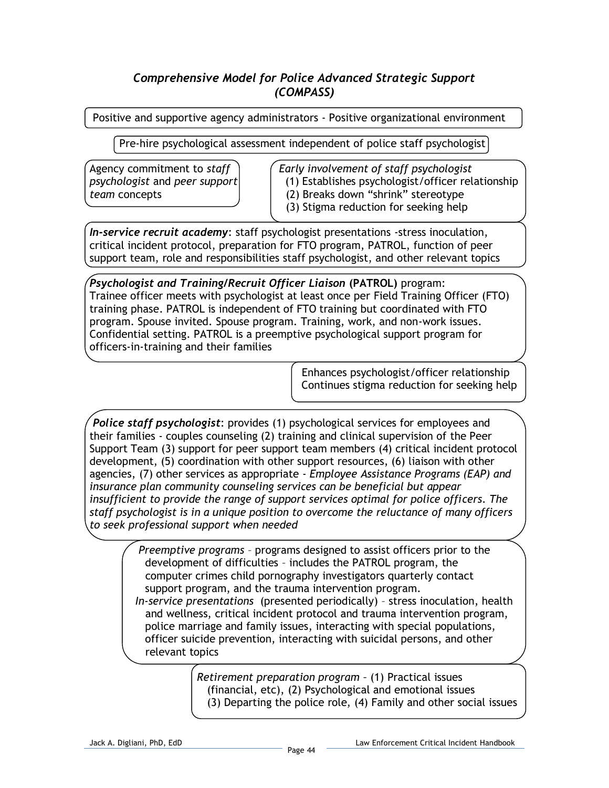## *Comprehensive Model for Police Advanced Strategic Support (COMPASS)*

l Positive and supportive agency administrators - Positive organizational environment

Pre-hire psychological assessment independent of police staff psychologist

 $\overline{a}$ 

Agency commitment to *staff Early involvement of staff psychologist psychologist* and *peer support* (1) Establishes psychologist/officer relationship *team* concepts  $\vert$  (2) Breaks down "shrink" stereotype

(3) Stigma reduction for seeking help

*In-service recruit academy*: staff psychologist presentations -stress inoculation, critical incident protocol, preparation for FTO program, PATROL, function of peer support team, role and responsibilities staff psychologist, and other relevant topics

*Psychologist and Training/Recruit Officer Liaison* **(PATROL)** program: Trainee officer meets with psychologist at least once per Field Training Officer (FTO) training phase. PATROL is independent of FTO training but coordinated with FTO program. Spouse invited. Spouse program. Training, work, and non-work issues. Confidential setting. PATROL is a preemptive psychological support program for officers-in-training and their families

> Enhances psychologist/officer relationship Continues stigma reduction for seeking help

*Police staff psychologist*: provides (1) psychological services for employees and their families - couples counseling (2) training and clinical supervision of the Peer Support Team (3) support for peer support team members (4) critical incident protocol development, (5) coordination with other support resources, (6) liaison with other agencies, (7) other services as appropriate - *Employee Assistance Programs (EAP) and insurance plan community counseling services can be beneficial but appear insufficient to provide the range of support services optimal for police officers. The staff psychologist is in a unique position to overcome the reluctance of many officers to seek professional support when needed*

> *Preemptive programs* – programs designed to assist officers prior to the development of difficulties – includes the PATROL program, the computer crimes child pornography investigators quarterly contact support program, and the trauma intervention program.

 *In-service presentations* (presented periodically) – stress inoculation, health and wellness, critical incident protocol and trauma intervention program, police marriage and family issues, interacting with special populations, officer suicide prevention, interacting with suicidal persons, and other relevant topics

> *Retirement preparation program –* (1) Practical issues (financial, etc), (2) Psychological and emotional issues (3) Departing the police role, (4) Family and other social issues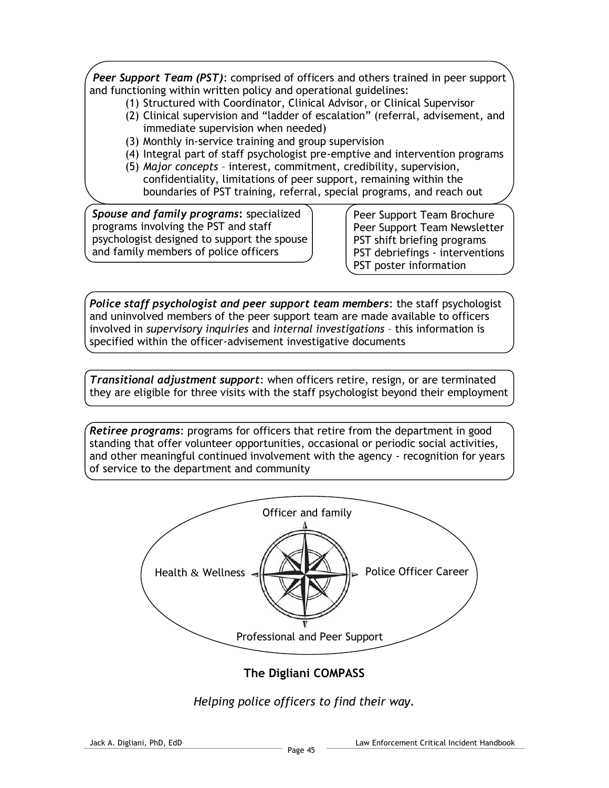*Peer Support Team (PST)*: comprised of officers and others trained in peer support and functioning within written policy and operational guidelines:

- (1) Structured with Coordinator, Clinical Advisor, or Clinical Supervisor
- (2) Clinical supervision and "ladder of escalation" (referral, advisement, and immediate supervision when needed)
- (3) Monthly in-service training and group supervision
- (4) Integral part of staff psychologist pre-emptive and intervention programs
- (5) *Major concepts* interest, commitment, credibility, supervision, confidentiality, limitations of peer support, remaining within the boundaries of PST training, referral, special programs, and reach out

*Spouse and family programs***:** specialized programs involving the PST and staff psychologist designed to support the spouse and family members of police officers

 Peer Support Team Brochure Peer Support Team Newsletter PST shift briefing programs PST debriefings - interventions PST poster information

*Police staff psychologist and peer support team members*: the staff psychologist and uninvolved members of the peer support team are made available to officers involved in *supervisory inquiries* and *internal investigations* – this information is specified within the officer-advisement investigative documents

*Transitional adjustment support*: when officers retire, resign, or are terminated they are eligible for three visits with the staff psychologist beyond their employment

*Retiree programs*: programs for officers that retire from the department in good standing that offer volunteer opportunities, occasional or periodic social activities, and other meaningful continued involvement with the agency - recognition for years of service to the department and community



**The Digliani COMPASS**

*Helping police officers to find their way.*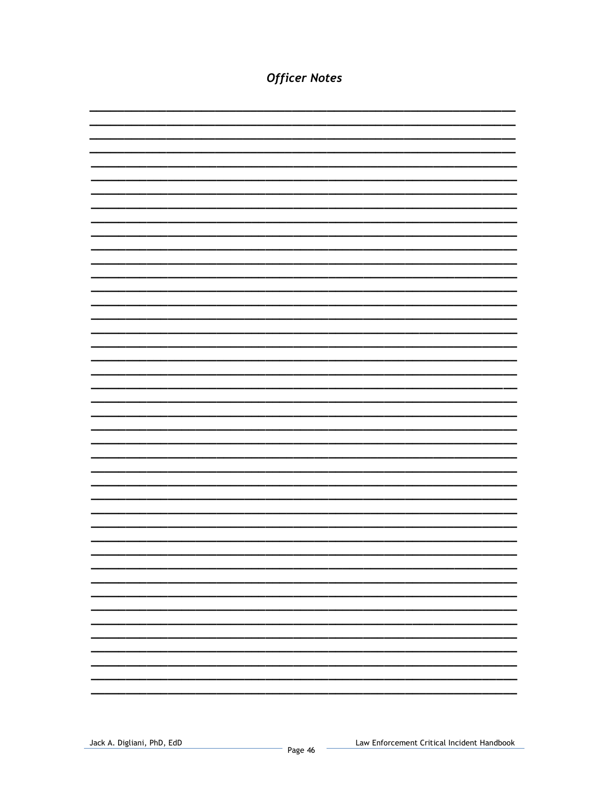| <b>Officer Notes</b> |  |  |  |
|----------------------|--|--|--|
|                      |  |  |  |
|                      |  |  |  |
|                      |  |  |  |
|                      |  |  |  |
|                      |  |  |  |
|                      |  |  |  |
|                      |  |  |  |
|                      |  |  |  |
|                      |  |  |  |
|                      |  |  |  |
|                      |  |  |  |
|                      |  |  |  |
|                      |  |  |  |
|                      |  |  |  |
|                      |  |  |  |
|                      |  |  |  |
|                      |  |  |  |
|                      |  |  |  |
|                      |  |  |  |
|                      |  |  |  |
|                      |  |  |  |
|                      |  |  |  |
|                      |  |  |  |
|                      |  |  |  |
|                      |  |  |  |
|                      |  |  |  |
|                      |  |  |  |
|                      |  |  |  |
|                      |  |  |  |
|                      |  |  |  |
|                      |  |  |  |
|                      |  |  |  |

 $\sim$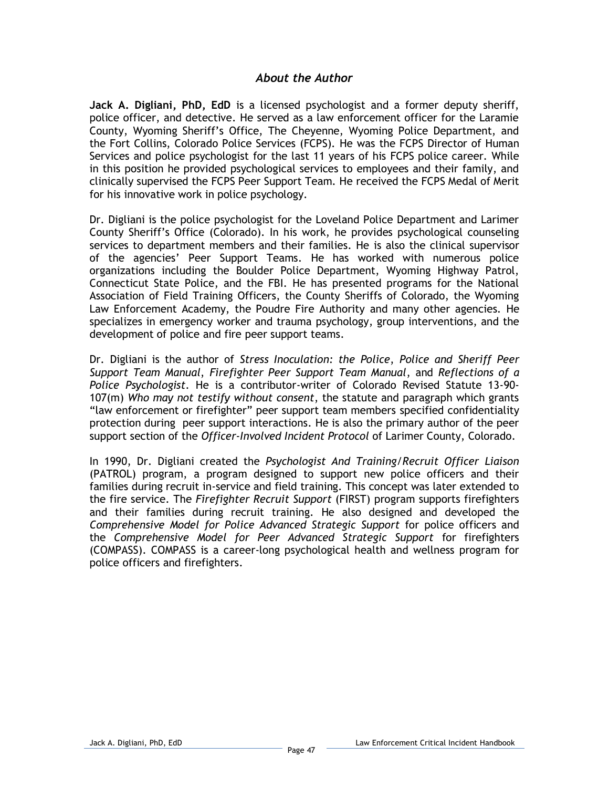## *About the Author*

**Jack A. Digliani, PhD, EdD** is a licensed psychologist and a former deputy sheriff, police officer, and detective. He served as a law enforcement officer for the Laramie County, Wyoming Sheriff's Office, The Cheyenne, Wyoming Police Department, and the Fort Collins, Colorado Police Services (FCPS). He was the FCPS Director of Human Services and police psychologist for the last 11 years of his FCPS police career. While in this position he provided psychological services to employees and their family, and clinically supervised the FCPS Peer Support Team. He received the FCPS Medal of Merit for his innovative work in police psychology.

Dr. Digliani is the police psychologist for the Loveland Police Department and Larimer County Sheriff's Office (Colorado). In his work, he provides psychological counseling services to department members and their families. He is also the clinical supervisor of the agencies' Peer Support Teams. He has worked with numerous police organizations including the Boulder Police Department, Wyoming Highway Patrol, Connecticut State Police, and the FBI. He has presented programs for the National Association of Field Training Officers, the County Sheriffs of Colorado, the Wyoming Law Enforcement Academy, the Poudre Fire Authority and many other agencies. He specializes in emergency worker and trauma psychology, group interventions, and the development of police and fire peer support teams.

Dr. Digliani is the author of *Stress Inoculation: the Police*, *Police and Sheriff Peer Support Team Manual*, *Firefighter Peer Support Team Manual*, and *Reflections of a Police Psychologist*. He is a contributor-writer of Colorado Revised Statute 13-90- 107(m) *Who may not testify without consent*, the statute and paragraph which grants "law enforcement or firefighter" peer support team members specified confidentiality protection during peer support interactions. He is also the primary author of the peer support section of the *Officer-Involved Incident Protocol* of Larimer County, Colorado.

In 1990, Dr. Digliani created the *Psychologist And Training/Recruit Officer Liaison* (PATROL) program, a program designed to support new police officers and their families during recruit in-service and field training. This concept was later extended to the fire service. The *Firefighter Recruit Support* (FIRST) program supports firefighters and their families during recruit training. He also designed and developed the *Comprehensive Model for Police Advanced Strategic Support* for police officers and the *Comprehensive Model for Peer Advanced Strategic Support* for firefighters (COMPASS). COMPASS is a career-long psychological health and wellness program for police officers and firefighters.